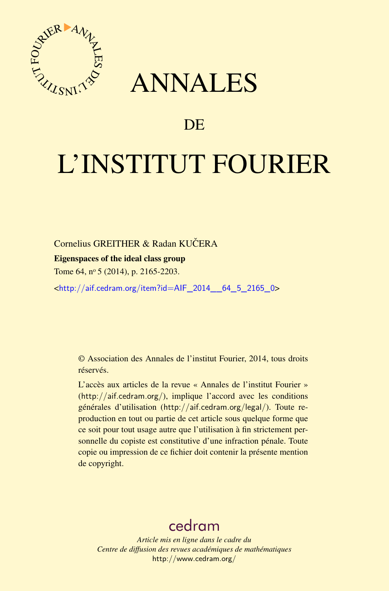

## ANNALES

### **DE**

# L'INSTITUT FOURIER

#### Cornelius GREITHER & Radan KUČERA

#### Eigenspaces of the ideal class group

Tome 64, nº 5 (2014), p. 2165-2203.

<[http://aif.cedram.org/item?id=AIF\\_2014\\_\\_64\\_5\\_2165\\_0](http://aif.cedram.org/item?id=AIF_2014__64_5_2165_0)>

© Association des Annales de l'institut Fourier, 2014, tous droits réservés.

L'accès aux articles de la revue « Annales de l'institut Fourier » (<http://aif.cedram.org/>), implique l'accord avec les conditions générales d'utilisation (<http://aif.cedram.org/legal/>). Toute reproduction en tout ou partie de cet article sous quelque forme que ce soit pour tout usage autre que l'utilisation à fin strictement personnelle du copiste est constitutive d'une infraction pénale. Toute copie ou impression de ce fichier doit contenir la présente mention de copyright.

## [cedram](http://www.cedram.org/)

*Article mis en ligne dans le cadre du Centre de diffusion des revues académiques de mathématiques* <http://www.cedram.org/>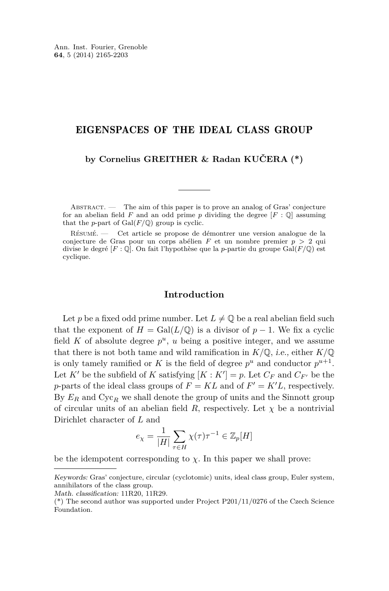#### EIGENSPACES OF THE IDEAL CLASS GROUP

#### **by Cornelius GREITHER & Radan KUČERA (\*)**

ABSTRACT. — The aim of this paper is to prove an analog of Gras' conjecture for an abelian field  $F$  and an odd prime  $p$  dividing the degree  $[F: \mathbb{Q}]$  assuming that the *p*-part of  $Gal(F/\mathbb{Q})$  group is cyclic.

Résumé. — Cet article se propose de démontrer une version analogue de la conjecture de Gras pour un corps abélien *F* et un nombre premier *p >* 2 qui divise le degré [*F* : Q]. On fait l'hypothèse que la *p*-partie du groupe Gal(*F/*Q) est cyclique.

#### **Introduction**

Let p be a fixed odd prime number. Let  $L \neq \mathbb{Q}$  be a real abelian field such that the exponent of  $H = \text{Gal}(L/\mathbb{Q})$  is a divisor of  $p-1$ . We fix a cyclic field  $K$  of absolute degree  $p^u$ ,  $u$  being a positive integer, and we assume that there is not both tame and wild ramification in  $K/\mathbb{Q}$ , *i.e.*, either  $K/\mathbb{Q}$ is only tamely ramified or *K* is the field of degree  $p^u$  and conductor  $p^{u+1}$ . Let *K'* be the subfield of *K* satisfying  $[K : K'] = p$ . Let  $C_F$  and  $C_{F'}$  be the *p*-parts of the ideal class groups of  $F = KL$  and of  $F' = K'L$ , respectively. By  $E_R$  and  $Cyc_R$  we shall denote the group of units and the Sinnott group of circular units of an abelian field *R*, respectively. Let  $\chi$  be a nontrivial Dirichlet character of *L* and

$$
e_\chi=\frac{1}{|H|}\sum_{\tau\in H}\chi(\tau)\tau^{-1}\in\mathbb{Z}_p[H]
$$

be the idempotent corresponding to  $\chi$ . In this paper we shall prove:

Keywords: Gras' conjecture, circular (cyclotomic) units, ideal class group, Euler system, annihilators of the class group.

Math. classification: 11R20, 11R29.

 $(*)$  The second author was supported under Project P201/11/0276 of the Czech Science Foundation.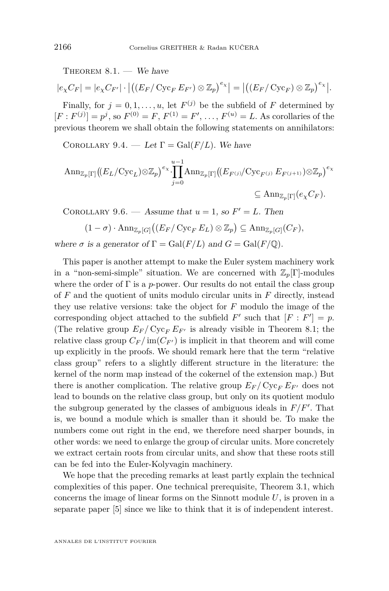THEOREM  $8.1.$  – We have

$$
|e_{\chi}C_{F}| = |e_{\chi}C_{F'}| \cdot |((E_{F}/\operatorname{Cyc}_{F}E_{F'}) \otimes \mathbb{Z}_{p})^{e_{\chi}}| = |((E_{F}/\operatorname{Cyc}_{F}) \otimes \mathbb{Z}_{p})^{e_{\chi}}|.
$$

Finally, for  $j = 0, 1, \ldots, u$ , let  $F^{(j)}$  be the subfield of F determined by  $[F: F^{(j)}] = p^j$ , so  $F^{(0)} = F, F^{(1)} = F', \ldots, F^{(u)} = L$ . As corollaries of the previous theorem we shall obtain the following statements on annihilators:

COROLLARY [9.4.](#page-37-0) — Let  $\Gamma = \text{Gal}(F/L)$ . We have

$$
\operatorname{Ann}_{\mathbb{Z}_p[\Gamma]}((E_L/\operatorname{Cyc}_L)\otimes\mathbb{Z}_p)^{e_\chi}\cdot\prod_{j=0}^{u-1}\operatorname{Ann}_{\mathbb{Z}_p[\Gamma]}((E_{F^{(j)}}/\operatorname{Cyc}_{F^{(j)}}E_{F^{(j+1)}})\otimes\mathbb{Z}_p)^{e_\chi}
$$
  

$$
\subseteq \operatorname{Ann}_{\mathbb{Z}_p[\Gamma]}(e_\chi C_F).
$$

COROLLARY [9.6.](#page-38-0) — Assume that  $u = 1$ , so  $F' = L$ . Then

$$
(1 - \sigma) \cdot \mathrm{Ann}_{\mathbb{Z}_p[G]}\big((E_F/\operatorname{Cyc}_F E_L) \otimes \mathbb{Z}_p\big) \subseteq \mathrm{Ann}_{\mathbb{Z}_p[G]}(C_F),
$$

where  $\sigma$  is a generator of  $\Gamma = \text{Gal}(F/L)$  and  $G = \text{Gal}(F/\mathbb{Q})$ .

This paper is another attempt to make the Euler system machinery work in a "non-semi-simple" situation. We are concerned with  $\mathbb{Z}_p[\Gamma]$ -modules where the order of  $\Gamma$  is a *p*-power. Our results do not entail the class group of *F* and the quotient of units modulo circular units in *F* directly, instead they use relative versions: take the object for *F* modulo the image of the corresponding object attached to the subfield  $F'$  such that  $[F : F'] = p$ . (The relative group  $E_F / \text{Cyc}_F E_{F'}$  is already visible in Theorem [8.1;](#page-33-0) the relative class group  $C_F / im(C_{F'})$  is implicit in that theorem and will come up explicitly in the proofs. We should remark here that the term "relative class group" refers to a slightly different structure in the literature: the kernel of the norm map instead of the cokernel of the extension map.) But there is another complication. The relative group  $E_F / Cyc_F E_{F'}$  does not lead to bounds on the relative class group, but only on its quotient modulo the subgroup generated by the classes of ambiguous ideals in  $F/F'$ . That is, we bound a module which is smaller than it should be. To make the numbers come out right in the end, we therefore need sharper bounds, in other words: we need to enlarge the group of circular units. More concretely we extract certain roots from circular units, and show that these roots still can be fed into the Euler-Kolyvagin machinery.

We hope that the preceding remarks at least partly explain the technical complexities of this paper. One technical prerequisite, Theorem [3.1,](#page-10-0) which concerns the image of linear forms on the Sinnott module *U*, is proven in a separate paper [\[5\]](#page-39-0) since we like to think that it is of independent interest.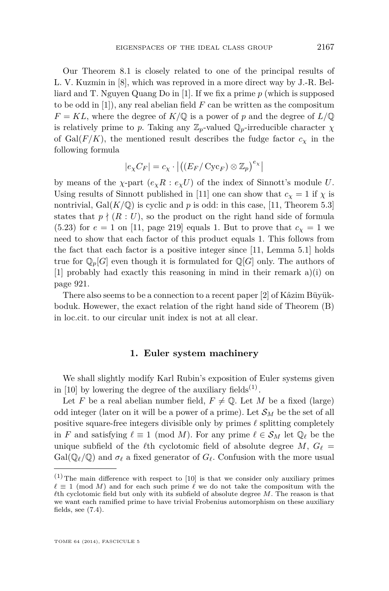Our Theorem [8.1](#page-33-0) is closely related to one of the principal results of L. V. Kuzmin in [\[8\]](#page-39-0), which was reproved in a more direct way by J.-R. Belliard and T. Nguyen Quang Do in [\[1\]](#page-39-0). If we fix a prime *p* (which is supposed to be odd in [\[1\]](#page-39-0)), any real abelian field *F* can be written as the compositum  $F = KL$ , where the degree of  $K/\mathbb{Q}$  is a power of *p* and the degree of  $L/\mathbb{Q}$ is relatively prime to *p*. Taking any  $\mathbb{Z}_p$ -valued  $\mathbb{Q}_p$ -irreducible character  $\chi$ of Gal( $F/K$ ), the mentioned result describes the fudge factor  $c<sub>x</sub>$  in the following formula

$$
|e_{\chi}C_F| = c_{\chi} \cdot \left| \left( \left( E_F / \operatorname{Cyc}_F \right) \otimes \mathbb{Z}_p \right)^{e_{\chi}} \right|
$$

by means of the  $\chi$ -part  $(e_{\chi}R : e_{\chi}U)$  of the index of Sinnott's module U. Using results of Sinnott published in [\[11\]](#page-39-0) one can show that  $c<sub>x</sub> = 1$  if  $\chi$  is nontrivial, Gal $(K/\mathbb{Q})$  is cyclic and p is odd: in this case, [\[11,](#page-39-0) Theorem 5.3] states that  $p \nmid (R : U)$ , so the product on the right hand side of formula  $(5.23)$  for  $e = 1$  on [\[11,](#page-39-0) page 219] equals 1. But to prove that  $c<sub>x</sub> = 1$  we need to show that each factor of this product equals 1. This follows from the fact that each factor is a positive integer since [\[11,](#page-39-0) Lemma 5.1] holds true for  $\mathbb{Q}_p[G]$  even though it is formulated for  $\mathbb{Q}[G]$  only. The authors of [\[1\]](#page-39-0) probably had exactly this reasoning in mind in their remark a)(i) on page 921.

There also seems to be a connection to a recent paper [\[2\]](#page-39-0) of Kâzim Büyükboduk. Howewer, the exact relation of the right hand side of Theorem (B) in loc.cit. to our circular unit index is not at all clear.

#### **1. Euler system machinery**

We shall slightly modify Karl Rubin's exposition of Euler systems given in [\[10\]](#page-39-0) by lowering the degree of the auxiliary fields<sup>(1)</sup>.

Let *F* be a real abelian number field,  $F \neq \mathbb{Q}$ . Let *M* be a fixed (large) odd integer (later on it will be a power of a prime). Let  $\mathcal{S}_M$  be the set of all positive square-free integers divisible only by primes  $\ell$  splitting completely in *F* and satisfying  $\ell \equiv 1 \pmod{M}$ . For any prime  $\ell \in S_M$  let  $\mathbb{Q}_\ell$  be the unique subfield of the  $\ell$ th cyclotomic field of absolute degree *M*,  $G_{\ell}$  =  $Gal(\mathbb{Q}_\ell/\mathbb{Q})$  and  $\sigma_\ell$  a fixed generator of  $G_\ell$ . Confusion with the more usual

 $(1)$  The main difference with respect to [\[10\]](#page-39-0) is that we consider only auxiliary primes  $\ell \equiv 1 \pmod{M}$  and for each such prime  $\ell$  we do not take the compositum with the  $\ell$ th cyclotomic field but only with its subfield of absolute degree *M*. The reason is that we want each ramified prime to have trivial Frobenius automorphism on these auxiliary fields, see  $(7.4)$ .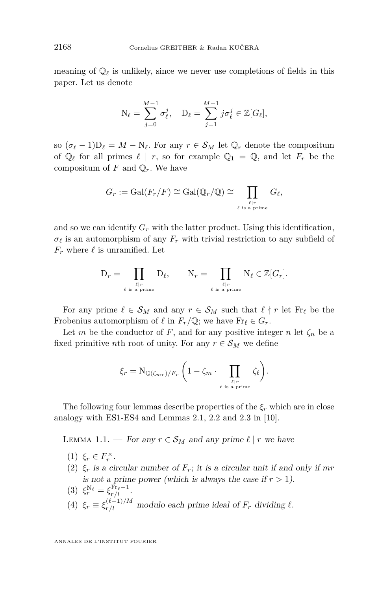<span id="page-4-0"></span>meaning of  $\mathbb{Q}_\ell$  is unlikely, since we never use completions of fields in this paper. Let us denote

$$
N_{\ell} = \sum_{j=0}^{M-1} \sigma_{\ell}^j, \quad D_{\ell} = \sum_{j=1}^{M-1} j \sigma_{\ell}^j \in \mathbb{Z}[G_{\ell}],
$$

so  $(\sigma_{\ell} - 1)D_{\ell} = M - N_{\ell}$ . For any  $r \in S_M$  let  $\mathbb{Q}_r$  denote the compositum of  $\mathbb{Q}_\ell$  for all primes  $\ell \mid r$ , so for example  $\mathbb{Q}_1 = \mathbb{Q}$ , and let  $F_r$  be the compositum of  $F$  and  $\mathbb{Q}_r$ . We have

$$
G_r := \mathrm{Gal}(F_r/F) \cong \mathrm{Gal}(\mathbb{Q}_r/\mathbb{Q}) \cong \prod_{\ell \mid r \atop \ell \text{ is a prime}} G_\ell,
$$

and so we can identify  $G_r$  with the latter product. Using this identification,  $\sigma_{\ell}$  is an automorphism of any  $F_r$  with trivial restriction to any subfield of  $F_r$  where  $\ell$  is unramified. Let

$$
\mathcal{D}_r = \prod_{\substack{\ell \mid r \\ \ell \text{ is a prime}}} \mathcal{D}_\ell, \qquad \mathcal{N}_r = \prod_{\substack{\ell \mid r \\ \ell \text{ is a prime}}} \mathcal{N}_\ell \in \mathbb{Z}[G_r].
$$

For any prime  $\ell \in S_M$  and any  $r \in S_M$  such that  $\ell \nmid r$  let Fr<sub> $\ell$ </sub> be the Frobenius automorphism of  $\ell$  in  $F_r/\mathbb{Q}$ ; we have  $\text{Fr}_{\ell} \in G_r$ .

Let *m* be the conductor of *F*, and for any positive integer *n* let  $\zeta_n$  be a fixed primitive *n*th root of unity. For any  $r \in S_M$  we define

$$
\xi_r = \mathrm{N}_{\mathbb{Q}(\zeta_{mr})/F_r} \left(1 - \zeta_m \cdot \prod_{\ell \mid r \atop \ell \text{ is a prime}} \zeta_{\ell}\right).
$$

The following four lemmas describe properties of the  $\xi_r$  which are in close analogy with ES1-ES4 and Lemmas 2.1, 2.2 and 2.3 in [\[10\]](#page-39-0).

LEMMA 1.1. — For any  $r \in S_M$  and any prime  $\ell \mid r$  we have

- (1)  $\xi_r \in F_r^{\times}$ .
- (2)  $\xi_r$  is a circular number of  $F_r$ ; it is a circular unit if and only if mr is not a prime power (which is always the case if  $r > 1$ ).
- (3)  $\xi_r^{\text{N}_{\ell}} = \xi_{r/l}^{\text{Fr}_{\ell}-1}$ .
- (4)  $\xi_r \equiv \xi_{r/l}^{(\ell-1)/M}$  modulo each prime ideal of  $F_r$  dividing  $\ell$ .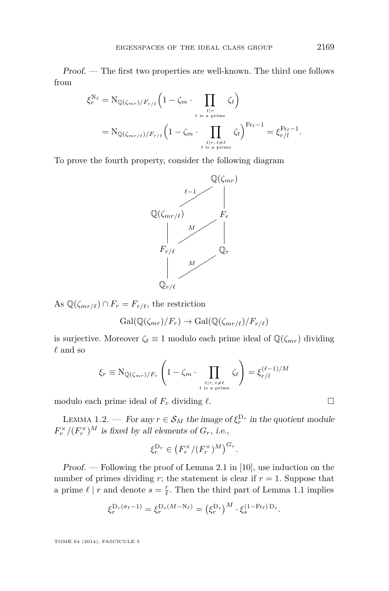Proof. — The first two properties are well-known. The third one follows from

$$
\xi_r^{N_{\ell}} = N_{\mathbb{Q}(\zeta_{mr})/F_{r/\ell}} \left(1 - \zeta_m \cdot \prod_{\substack{t \mid r \\ t \text{ is a prime}} \atop t \text{ is a prime}} \zeta_t\right)
$$

$$
= N_{\mathbb{Q}(\zeta_{mr/\ell})/F_{r/\ell}} \left(1 - \zeta_m \cdot \prod_{\substack{t \mid r, t \neq \ell \\ t \text{ is a prime}} \atop t \text{ is a prime}} \zeta_t\right)^{\text{Fr}_{\ell}-1} = \xi_{r/l}^{\text{Fr}_{\ell}-1}.
$$

To prove the fourth property, consider the following diagram



As  $\mathbb{Q}(\zeta_{mr/\ell}) \cap F_r = F_{r/\ell}$ , the restriction

$$
\text{Gal}(\mathbb{Q}(\zeta_{mr})/F_r) \to \text{Gal}(\mathbb{Q}(\zeta_{mr/\ell})/F_{r/\ell})
$$

is surjective. Moreover  $\zeta_{\ell} \equiv 1$  modulo each prime ideal of  $\mathbb{Q}(\zeta_{mr})$  dividing  $\ell$  and so

$$
\xi_r \equiv \mathcal{N}_{\mathbb{Q}(\zeta_{mr})/F_r} \left(1 - \zeta_m \cdot \prod_{\substack{t|r, \ t \neq \ell \\ t \text{ is a prime}}} \zeta_t\right) = \xi_{r/l}^{(\ell-1)/M}
$$

modulo each prime ideal of  $F_r$  dividing  $\ell$ .

LEMMA 1.2. — For any  $r \in S_M$  the image of  $\xi_r^{\mathcal{D}_r}$  in the quotient module  $F_r^{\times}/(F_r^{\times})^M$  is fixed by all elements of  $G_r$ , i.e.,

$$
\xi_r^{\mathcal{D}_r} \in \left(F_r^{\times}/(F_r^{\times})^M\right)^{G_r}.
$$

Proof. — Following the proof of Lemma 2.1 in [\[10\]](#page-39-0), use induction on the number of primes dividing  $r$ ; the statement is clear if  $r = 1$ . Suppose that a prime  $\ell \mid r$  and denote  $s = \frac{r}{\ell}$ . Then the third part of Lemma [1.1](#page-4-0) implies

$$
\xi_r^{D_r(\sigma_\ell-1)} = \xi_r^{D_s(M-N_\ell)} = \left(\xi_r^{D_s}\right)^M \cdot \xi_s^{(1-\text{Fr}_\ell) D_s}.
$$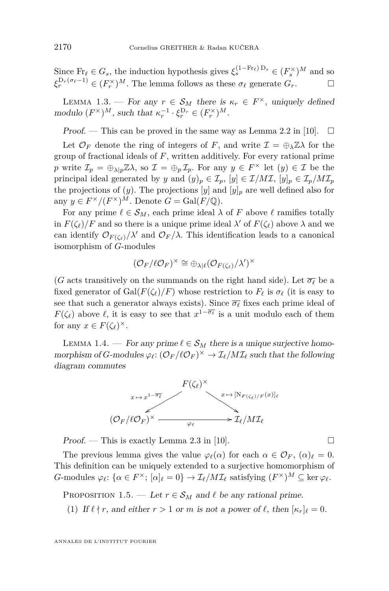<span id="page-6-0"></span>Since  $\text{Fr}_\ell \in G_s$ , the induction hypothesis gives  $\xi_s^{(1-\text{Fr}_\ell) D_s} \in (F_s^\times)^M$  and so  $\xi_r^{\text{D}_r(\sigma_\ell-1)} \in (F_r^\times)^M$ . The lemma follows as these  $\sigma_\ell$  generate  $G_r$ .

LEMMA 1.3. — For any  $r \in S_M$  there is  $\kappa_r \in F^\times$ , uniquely defined modulo  $(F^{\times})^M$ , such that  $\kappa_r^{-1} \cdot \xi_r^{\mathcal{D}_r} \in (F_r^{\times})^M$ .

Proof. — This can be proved in the same way as Lemma 2.2 in [\[10\]](#page-39-0).  $\Box$ 

Let  $\mathcal{O}_F$  denote the ring of integers of *F*, and write  $\mathcal{I} = \bigoplus_{\lambda} \mathbb{Z} \lambda$  for the group of fractional ideals of *F*, written additively. For every rational prime *p* write  $\mathcal{I}_p = \bigoplus_{\lambda|p} \mathbb{Z}\lambda$ , so  $\mathcal{I} = \bigoplus_p \mathcal{I}_p$ . For any  $y \in F^\times$  let  $(y) \in \mathcal{I}$  be the principal ideal generated by *y* and  $(y)_p \in \mathcal{I}_p$ ,  $[y] \in \mathcal{I}/M\mathcal{I}$ ,  $[y]_p \in \mathcal{I}_p/M\mathcal{I}_p$ the projections of  $(y)$ . The projections  $[y]$  and  $[y]_p$  are well defined also for any  $y \in F^{\times}/(F^{\times})^M$ . Denote  $G = \text{Gal}(F/\mathbb{Q})$ .

For any prime  $\ell \in \mathcal{S}_M$ , each prime ideal  $\lambda$  of *F* above  $\ell$  ramifies totally in  $F(\zeta_\ell)/F$  and so there is a unique prime ideal  $\lambda'$  of  $F(\zeta_\ell)$  above  $\lambda$  and we can identify  $\mathcal{O}_{F(\zeta_{\ell})}/\lambda'$  and  $\mathcal{O}_{F}/\lambda$ . This identification leads to a canonical isomorphism of *G*-modules

$$
(\mathcal{O}_F/\ell\mathcal{O}_F)^\times\cong\oplus_{\lambda|\ell}(\mathcal{O}_{F(\zeta_{\ell})}/\lambda')^\times
$$

(*G* acts transitively on the summands on the right hand side). Let  $\overline{\sigma_{\ell}}$  be a fixed generator of Gal $(F(\zeta_\ell)/F)$  whose restriction to  $F_\ell$  is  $\sigma_\ell$  (it is easy to see that such a generator always exists). Since  $\overline{\sigma_{\ell}}$  fixes each prime ideal of *F*( $\zeta_{\ell}$ ) above  $\ell$ , it is easy to see that  $x^{1-\overline{\sigma_{\ell}}}$  is a unit modulo each of them for any  $x \in F(\zeta_\ell)^\times$ .

LEMMA 1.4. — For any prime  $\ell \in S_M$  there is a unique surjective homomorphism of *G*-modules  $\varphi_{\ell} : (\mathcal{O}_F/\ell \mathcal{O}_F)^{\times} \to \mathcal{I}_{\ell}/M\mathcal{I}_{\ell}$  such that the following diagram commutes



Proof. — This is exactly Lemma 2.3 in [\[10\]](#page-39-0).  $\Box$ 

The previous lemma gives the value  $\varphi_{\ell}(\alpha)$  for each  $\alpha \in \mathcal{O}_F$ ,  $(\alpha)_{\ell} = 0$ . This definition can be uniquely extended to a surjective homomorphism of *G*-modules  $\varphi_{\ell}$ : { $\alpha \in F^{\times}$ ; [ $\alpha$ ]<sub> $\ell$ </sub> = 0}  $\rightarrow \mathcal{I}_{\ell}/M\mathcal{I}_{\ell}$  satisfying  $(F^{\times})^M \subseteq \ker \varphi_{\ell}$ .

PROPOSITION 1.5. — Let  $r \in S_M$  and  $\ell$  be any rational prime.

(1) If  $\ell \nmid r$ , and either  $r > 1$  or  $m$  is not a power of  $\ell$ , then  $[\kappa_r]_\ell = 0$ .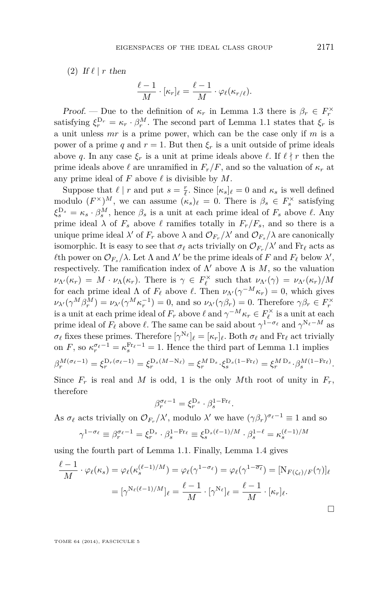(2) If  $\ell \mid r$  then

$$
\frac{\ell-1}{M}\cdot[\kappa_r]_\ell=\frac{\ell-1}{M}\cdot\varphi_\ell(\kappa_{r/\ell}).
$$

*Proof.* — Due to the definition of  $\kappa_r$  in Lemma [1.3](#page-6-0) there is  $\beta_r \in F_r^{\times}$ satisfying  $\xi_r^{\mathcal{D}_r} = \kappa_r \cdot \beta_r^M$ . The second part of Lemma [1.1](#page-4-0) states that  $\xi_r$  is a unit unless *mr* is a prime power, which can be the case only if *m* is a power of a prime *q* and  $r = 1$ . But then  $\xi_r$  is a unit outside of prime ideals above *q*. In any case  $\xi_r$  is a unit at prime ideals above  $\ell$ . If  $\ell \nmid r$  then the prime ideals above  $\ell$  are unramified in  $F_r/F$ , and so the valuation of  $\kappa_r$  at any prime ideal of  $F$  above  $\ell$  is divisible by  $M$ .

Suppose that  $\ell \mid r$  and put  $s = \frac{r}{\ell}$ . Since  $[\kappa_s]_{\ell} = 0$  and  $\kappa_s$  is well defined modulo  $(F^{\times})^M$ , we can assume  $(\kappa_s)_\ell = 0$ . There is  $\beta_s \in F_s^{\times}$  satisfying  $\xi_s^{\mathcal{D}_s} = \kappa_s \cdot \beta_s^M$ , hence  $\beta_s$  is a unit at each prime ideal of  $F_s$  above  $\ell$ . Any prime ideal  $\lambda$  of  $F_s$  above  $\ell$  ramifies totally in  $F_r/F_s$ , and so there is a unique prime ideal  $\lambda'$  of  $F_r$  above  $\lambda$  and  $\mathcal{O}_{F_r}/\lambda'$  and  $\mathcal{O}_{F_s}/\lambda$  are canonically isomorphic. It is easy to see that  $\sigma_\ell$  acts trivially on  $\mathcal{O}_{F_r}/\lambda'$  and  $\text{Fr}_\ell$  acts as *l*th power on  $\mathcal{O}_{F_s}/\lambda$ . Let  $\Lambda$  and  $\Lambda'$  be the prime ideals of *F* and  $F_\ell$  below  $\lambda'$ , respectively. The ramification index of  $\Lambda'$  above  $\Lambda$  is  $M$ , so the valuation  $\nu_{\Lambda}(\kappa_r) = M \cdot \nu_{\Lambda}(\kappa_r)$ . There is  $\gamma \in F_{\ell}^{\times}$  such that  $\nu_{\Lambda}(\gamma) = \nu_{\Lambda}(\kappa_r)/M$ for each prime ideal  $\Lambda$  of  $F_\ell$  above  $\ell$ . Then  $\nu_{\Lambda'}(\gamma^{-M}\kappa_r) = 0$ , which gives  $\nu_{\lambda'}(\gamma^M \beta^M_r) = \nu_{\lambda'}(\gamma^M \kappa_r^{-1}) = 0$ , and so  $\nu_{\lambda'}(\gamma \beta_r) = 0$ . Therefore  $\gamma \beta_r \in F_r^{\times}$ is a unit at each prime ideal of  $F_r$  above  $\ell$  and  $\gamma^{-M} \kappa_r \in F_{\ell}^{\times}$  is a unit at each prime ideal of  $F_\ell$  above  $\ell$ . The same can be said about  $\gamma^{1-\sigma_\ell}$  and  $\gamma^{N_\ell-M}$  as  $\sigma_{\ell}$  fixes these primes. Therefore  $[\gamma^{N_{\ell}}]_{\ell} = [\kappa_r]_{\ell}$ . Both  $\sigma_{\ell}$  and Fr<sub> $\ell$ </sub> act trivially on *F*, so  $\kappa_r^{\sigma_\ell-1} = \kappa_s^{\text{Fr}_\ell-1} = 1$ . Hence the third part of Lemma [1.1](#page-4-0) implies  $\beta_r^{M(\sigma_{\ell}-1)} = \xi_r^{D_r(\sigma_{\ell}-1)} = \xi_r^{D_s(M-N_{\ell})} = \xi_r^{M D_s} \cdot \xi_s^{D_s(1-\text{Fr}_{\ell})} = \xi_r^{M D_s} \cdot \beta_s^{M(1-\text{Fr}_{\ell})}.$ 

Since  $F_r$  is real and *M* is odd, 1 is the only *M*th root of unity in  $F_r$ , therefore

$$
\beta_r^{\sigma_\ell-1}=\xi_r^{{\rm D}_s}\cdot \beta_s^{1-{\rm Fr}_\ell}.
$$

As  $\sigma_{\ell}$  acts trivially on  $\mathcal{O}_{F_r}/\lambda'$ , modulo  $\lambda'$  we have  $(\gamma \beta_r)^{\sigma_{\ell}-1} \equiv 1$  and so

$$
\gamma^{1-\sigma_{\ell}} \equiv \beta_r^{\sigma_{\ell}-1} = \xi_r^{\mathcal{D}_s} \cdot \beta_s^{1-\operatorname{Fr}_{\ell}} \equiv \xi_s^{\mathcal{D}_s(\ell-1)/M} \cdot \beta_s^{1-\ell} = \kappa_s^{(\ell-1)/M}
$$

using the fourth part of Lemma [1.1.](#page-4-0) Finally, Lemma [1.4](#page-6-0) gives

$$
\frac{\ell-1}{M} \cdot \varphi_{\ell}(\kappa_s) = \varphi_{\ell}(\kappa_s^{(\ell-1)/M}) = \varphi_{\ell}(\gamma^{1-\sigma_{\ell}}) = \varphi_{\ell}(\gamma^{1-\overline{\sigma_{\ell}}}) = [\mathcal{N}_{F(\zeta_{\ell})/F}(\gamma)]_{\ell}
$$

$$
= [\gamma^{\mathcal{N}_{\ell}(\ell-1)/M}]_{\ell} = \frac{\ell-1}{M} \cdot [\gamma^{\mathcal{N}_{\ell}}]_{\ell} = \frac{\ell-1}{M} \cdot [\kappa_r]_{\ell}.
$$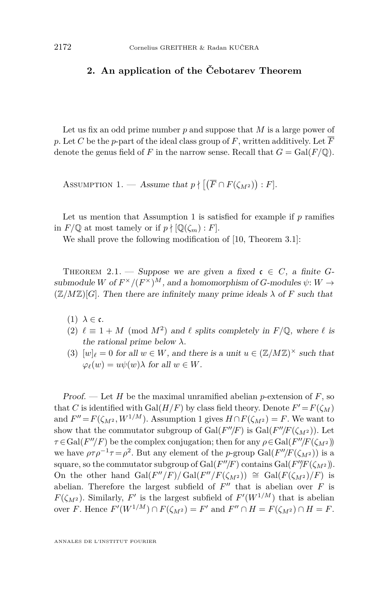#### <span id="page-8-0"></span>**2. An application of the Čebotarev Theorem**

Let us fix an odd prime number *p* and suppose that *M* is a large power of *p*. Let *C* be the *p*-part of the ideal class group of *F*, written additively. Let  $\overline{F}$ denote the genus field of *F* in the narrow sense. Recall that  $G = \text{Gal}(F/\mathbb{Q})$ .

ASSUMPTION 1. — Assume that  $p \nmid [(\overline{F} \cap F(\zeta_{M^2})) : F].$ 

Let us mention that Assumption 1 is satisfied for example if  $p$  ramifies in  $F/\mathbb{Q}$  at most tamely or if  $p \nmid [\mathbb{Q}(\zeta_m) : F]$ .

We shall prove the following modification of [\[10,](#page-39-0) Theorem 3.1]:

THEOREM 2.1. — Suppose we are given a fixed  $c \in C$ , a finite *G*submodule *W* of  $F^{\times}/(F^{\times})^M$ , and a homomorphism of *G*-modules  $\psi: W \to$  $(\mathbb{Z}/M\mathbb{Z})[G]$ . Then there are infinitely many prime ideals  $\lambda$  of F such that

- (1)  $\lambda \in \mathfrak{c}$ .
- (2)  $\ell \equiv 1 + M \pmod{M^2}$  and  $\ell$  splits completely in  $F/\mathbb{Q}$ , where  $\ell$  is the rational prime below *λ*.
- (3)  $[w]_l = 0$  for all  $w \in W$ , and there is a unit  $u \in (\mathbb{Z}/M\mathbb{Z})^{\times}$  such that  $\varphi_{\ell}(w) = u\psi(w)\lambda$  for all  $w \in W$ .

Proof. — Let *H* be the maximal unramified abelian *p*-extension of *F*, so that *C* is identified with  $Gal(H/F)$  by class field theory. Denote  $F' = F(\zeta_M)$ and  $F'' = F(\zeta_{M^2}, W^{1/M})$ . Assumption 1 gives  $H \cap F(\zeta_{M^2}) = F$ . We want to show that the commutator subgroup of  $Gal(F''/F)$  is  $Gal(F''/F(\zeta_{M^2}))$ . Let  $\tau \in \text{Gal}(F''/F)$  be the complex conjugation; then for any  $\rho \in \text{Gal}(F''/F(\zeta_{M^2}))$ we have  $\rho \tau \rho^{-1} \tau = \rho^2$ . But any element of the *p*-group Gal( $F''/F(\zeta_{M^2})$ ) is a square, so the commutator subgroup of  $Gal(F''/F)$  contains  $Gal(F''/F(\zeta_{M^2}))$ . On the other hand  $Gal(F''/F)/Gal(F''/F(\zeta_{M^2})) \cong Gal(F(\zeta_{M^2})/F)$  is abelian. Therefore the largest subfield of  $F''$  that is abelian over  $F$  is *F*( $\zeta_{M^2}$ ). Similarly, *F*<sup>'</sup> is the largest subfield of *F*<sup>'</sup>( $W^{1/M}$ ) that is abelian over *F*. Hence  $F'(W^{1/M}) \cap F(\zeta_{M^2}) = F'$  and  $F'' \cap H = F(\zeta_{M^2}) \cap H = F$ .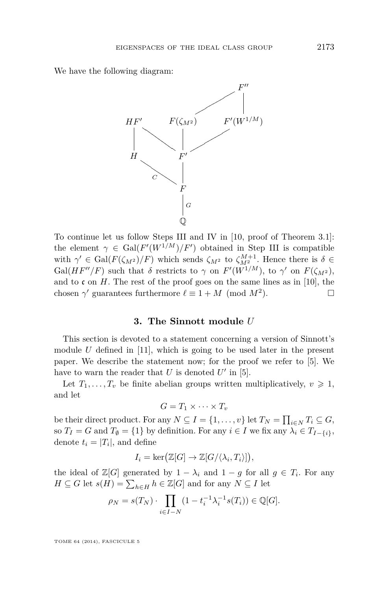<span id="page-9-0"></span>We have the following diagram:



To continue let us follow Steps III and IV in [\[10,](#page-39-0) proof of Theorem 3.1]: the element  $\gamma \in \text{Gal}(F'(W^{1/M})/F')$  obtained in Step III is compatible with  $\gamma' \in \text{Gal}(F(\zeta_{M^2})/F)$  which sends  $\zeta_{M^2}$  to  $\zeta_{M^2}^{M+1}$ . Hence there is  $\delta \in$ Gal( $HF''/F$ ) such that  $\delta$  restricts to  $\gamma$  on  $F'(W^{1/M})$ , to  $\gamma'$  on  $F(\zeta_{M^2})$ , and to  $\mathfrak c$  on *H*. The rest of the proof goes on the same lines as in [\[10\]](#page-39-0), the chosen  $\gamma'$  guarantees furthermore  $\ell \equiv 1 + M \pmod{M^2}$  $\Box$ 

#### **3. The Sinnott module** *U*

This section is devoted to a statement concerning a version of Sinnott's module *U* defined in [\[11\]](#page-39-0), which is going to be used later in the present paper. We describe the statement now; for the proof we refer to [\[5\]](#page-39-0). We have to warn the reader that  $U$  is denoted  $U'$  in [\[5\]](#page-39-0).

Let  $T_1, \ldots, T_v$  be finite abelian groups written multiplicatively,  $v \geq 1$ , and let

$$
G=T_1\times\cdots\times T_v
$$

be their direct product. For any  $N \subseteq I = \{1, \ldots, v\}$  let  $T_N = \prod_{i \in N} T_i \subseteq G$ , so *T*<sub>*I*</sub> = *G* and *T*<sub> $\emptyset$ </sub> = {1} by definition. For any *i* ∈ *I* we fix any  $\lambda_i$  ∈ *T*<sub>*I*−{*i*}</sub>, denote  $t_i = |T_i|$ , and define

$$
I_i = \ker(\mathbb{Z}[G] \to \mathbb{Z}[G/\langle \lambda_i, T_i \rangle]),
$$

the ideal of  $\mathbb{Z}[G]$  generated by  $1 - \lambda_i$  and  $1 - g$  for all  $g \in T_i$ . For any  $H \subseteq G$  let  $s(H) = \sum_{h \in H} h \in \mathbb{Z}[G]$  and for any  $N \subseteq I$  let

$$
\rho_N = s(T_N) \cdot \prod_{i \in I - N} (1 - t_i^{-1} \lambda_i^{-1} s(T_i)) \in \mathbb{Q}[G].
$$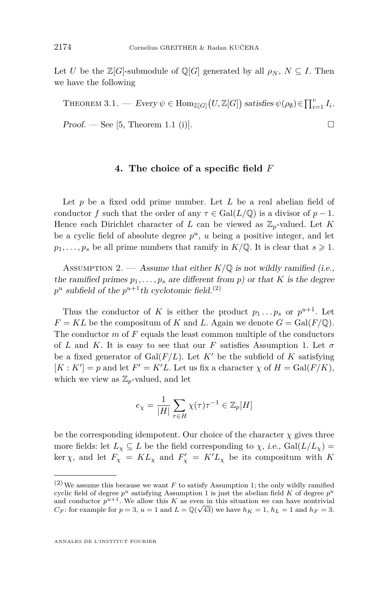<span id="page-10-0"></span>Let *U* be the  $\mathbb{Z}[G]$ -submodule of  $\mathbb{Q}[G]$  generated by all  $\rho_N$ ,  $N \subseteq I$ . Then we have the following

THEOREM 3.1. — Every  $\psi \in \text{Hom}_{\mathbb{Z}[G]}(U,\mathbb{Z}[G])$  satisfies  $\psi(\rho_{\emptyset}) \in \prod_{i=1}^{v} I_i$ .  $Proof.$  — See [\[5,](#page-39-0) Theorem 1.1 (i)].

#### **4. The choice of a specific field** *F*

Let *p* be a fixed odd prime number. Let *L* be a real abelian field of conductor *f* such that the order of any  $\tau \in Gal(L/\mathbb{Q})$  is a divisor of  $p-1$ . Hence each Dirichlet character of *L* can be viewed as  $\mathbb{Z}_p$ -valued. Let *K* be a cyclic field of absolute degree  $p^u$ ,  $u$  being a positive integer, and let  $p_1, \ldots, p_s$  be all prime numbers that ramify in  $K/\mathbb{Q}$ . It is clear that  $s \geq 1$ .

ASSUMPTION 2. — Assume that either  $K/\mathbb{Q}$  is not wildly ramified (i.e., the ramified primes  $p_1, \ldots, p_s$  are different from p) or that *K* is the degree  $p^u$  subfield of the  $p^{u+1}$ th cyclotomic field.<sup>(2)</sup>

Thus the conductor of *K* is either the product  $p_1 \ldots p_s$  or  $p^{u+1}$ . Let  $F = KL$  be the compositum of *K* and *L*. Again we denote  $G = Gal(F/\mathbb{Q})$ . The conductor *m* of *F* equals the least common multiple of the conductors of *L* and *K*. It is easy to see that our *F* satisfies Assumption [1.](#page-8-0) Let  $\sigma$ be a fixed generator of  $Gal(F/L)$ . Let  $K'$  be the subfield of  $K$  satisfying  $[K: K'] = p$  and let  $F' = K'L$ . Let us fix a character  $\chi$  of  $H = \text{Gal}(F/K)$ , which we view as  $\mathbb{Z}_p$ -valued, and let

$$
e_{\chi} = \frac{1}{|H|} \sum_{\tau \in H} \chi(\tau) \tau^{-1} \in \mathbb{Z}_p[H]
$$

be the corresponding idempotent. Our choice of the character  $\chi$  gives three more fields: let  $L_{\chi} \subseteq L$  be the field corresponding to  $\chi$ , i.e.,  $Gal(L/L_{\chi})$  $\ker \chi$ , and let  $F_{\chi} = KL_{\chi}$  and  $F'_{\chi} = K'L_{\chi}$  be its compositum with K

 $(2)$  We assume this because we want *F* to satisfy Assumption [1;](#page-8-0) the only wildly ramified cyclic field of degree  $p^u$  satisfying Assumption [1](#page-8-0) is just the abelian field K of degree  $p^u$ and conductor  $p^{u+1}$ . We allow this *K* as even in this situation we can have nontrivial *C<sub>F</sub>*: for example for  $p = 3$ ,  $u = 1$  and  $L = \mathbb{Q}(\sqrt{43})$  we have  $h_K = 1$ ,  $h_L = 1$  and  $h_F = 3$ .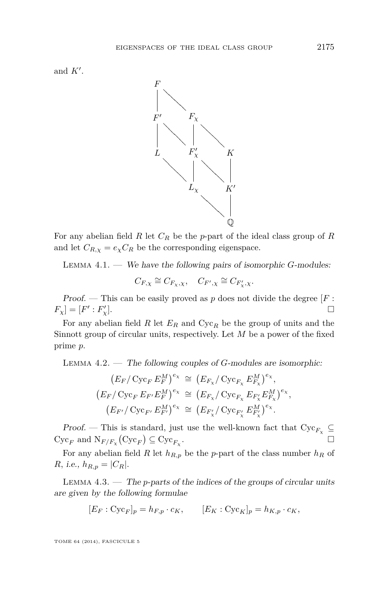<span id="page-11-0"></span>and  $K'$ .



For any abelian field *R* let *C<sup>R</sup>* be the *p*-part of the ideal class group of *R* and let  $C_{R,\chi} = e_{\chi} C_R$  be the corresponding eigenspace.

Lemma 4.1. — We have the following pairs of isomorphic *G*-modules:

$$
C_{F,\chi} \cong C_{F_{\chi},\chi}, \quad C_{F',\chi} \cong C_{F'_{\chi},\chi}.
$$

Proof. — This can be easily proved as  $p$  does not divide the degree  $[F:$  $F_{\chi}$ ] = [*F*' : *F*<sub> $\chi$ </sub><sup>'</sup> *γ*<sub>χ</sub>]. □

For any abelian field *R* let *E<sup>R</sup>* and Cyc*<sup>R</sup>* be the group of units and the Sinnott group of circular units, respectively. Let *M* be a power of the fixed prime *p*.

Lemma 4.2. — The following couples of *G*-modules are isomorphic:

$$
(E_F/\operatorname{Cyc}_F E_F^M)^{e_\chi} \cong (E_{F_\chi}/\operatorname{Cyc}_{F_\chi} E_{F_\chi}^M)^{e_\chi},
$$
  
\n
$$
(E_F/\operatorname{Cyc}_F E_{F'} E_F^M)^{e_\chi} \cong (E_{F_\chi}/\operatorname{Cyc}_{F_\chi} E_{F'_\chi} E_{F_\chi}^M)^{e_\chi},
$$
  
\n
$$
(E_{F'}/\operatorname{Cyc}_{F'} E_{F'}^M)^{e_\chi} \cong (E_{F'_\chi}/\operatorname{Cyc}_{F'_\chi} E_{F'_\chi}^M)^{e_\chi}.
$$

Proof. — This is standard, just use the well-known fact that  $Cyc_{F_\chi} \subseteq$  $Cyc_F$  and  $N_{F/F_\chi} (Cyc_F) \subseteq Cyc_{F_\chi}$ . The contract of the contract of  $\Box$ 

For any abelian field *R* let  $h_{R,p}$  be the *p*-part of the class number  $h_R$  of *R*, *i.e.*,  $h_{R,p} = |C_R|$ .

Lemma 4.3. — The *p*-parts of the indices of the groups of circular units are given by the following formulae

$$
[E_F : \mathrm{Cyc}_F]_p = h_{F,p} \cdot c_K, \qquad [E_K : \mathrm{Cyc}_K]_p = h_{K,p} \cdot c_K,
$$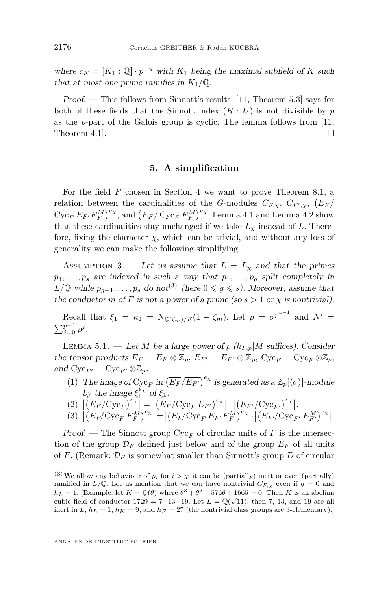<span id="page-12-0"></span>where  $c_K = [K_1 : \mathbb{Q}] \cdot p^{-u}$  with  $K_1$  being the maximal subfield of K such that at most one prime ramifies in  $K_1/\mathbb{Q}$ .

Proof. — This follows from Sinnott's results: [\[11,](#page-39-0) Theorem 5.3] says for both of these fields that the Sinnott index  $(R: U)$  is not divisible by  $p$ as the *p*-part of the Galois group is cyclic. The lemma follows from [\[11,](#page-39-0) Theorem 4.1].

#### **5. A simplification**

For the field *F* chosen in Section [4](#page-10-0) we want to prove Theorem [8.1,](#page-33-0) a relation between the cardinalities of the *G*-modules  $C_{F,\chi}$ ,  $C_{F',\chi}$ ,  $(E_F)$  $Cyc_F E_{F'} E_F^M$ , and  $(E_F/Cyc_F E_F^M)^{e_\chi}$ . Lemma [4.1](#page-11-0) and Lemma [4.2](#page-11-0) show that these cardinalities stay unchanged if we take  $L<sub>\chi</sub>$  instead of *L*. Therefore, fixing the character  $\chi$ , which can be trivial, and without any loss of generality we can make the following simplifying

ASSUMPTION 3. — Let us assume that  $L = L_{\chi}$  and that the primes  $p_1, \ldots, p_s$  are indexed in such a way that  $p_1, \ldots, p_g$  split completely in  $L/\mathbb{Q}$  while  $p_{q+1}, \ldots, p_s$  do not<sup>(3)</sup> (here  $0 \leqslant g \leqslant s$ ). Moreover, assume that the conductor *m* of *F* is not a power of a prime (so  $s > 1$  or  $\chi$  is nontrivial).

Recall that  $\xi_1 = \kappa_1 = \mathrm{N}_{\mathbb{Q}(\zeta_m)/F}(1-\zeta_m)$ . Let  $\rho = \sigma^{p^{u-1}}$  and  $N' =$  $\sum_{j=0}^{p-1} \rho^j$ .

LEMMA 5.1. — Let *M* be a large power of *p* ( $h_{F,p}$ |*M* suffices). Consider the tensor products  $\overline{E_F} = E_F \otimes \mathbb{Z}_p$ ,  $\overline{E_{F'}} = E_{F'} \otimes \mathbb{Z}_p$ ,  $\overline{\text{Cyc}_F} = \text{Cyc}_F \otimes \mathbb{Z}_p$ , and  $Cyc_{F'} = Cyc_{F'} \otimes \mathbb{Z}_p$ .

(1) The image of  $\overline{\text{Cyc}_F}$  in  $(\overline{E_F}/\overline{E_{F'}})^{e_\chi}$  is generated as a  $\mathbb{Z}_p[\langle \sigma \rangle]$ -module by the image  $\xi_1^{e_\chi}$  of  $\xi_1$ .

$$
(2)\ \left|\left(\overline{E_F}/\overline{\text{Cyc}_F}\right)^{e_{\chi}}\right| = \left|\left(\overline{E_F}/\overline{\text{Cyc}_F}\ \overline{E_{F'}}\right)^{e_{\chi}}\right| \cdot \left|\left(\overline{E_{F'}}/\overline{\text{Cyc}_{F'}}\right)^{e_{\chi}}\right|.
$$

 (3) *EF/*Cyc*<sup>F</sup> E<sup>M</sup> F eχ* = *EF/*Cyc*<sup>F</sup> E<sup>F</sup>* <sup>0</sup>*E<sup>M</sup> F eχ* · *E<sup>F</sup>* <sup>0</sup>*/*Cyc*<sup>F</sup>* <sup>0</sup> *E<sup>M</sup> F* <sup>0</sup> *eχ* .

Proof. — The Sinnott group  $Cyc_F$  of circular units of F is the intersection of the group  $\mathcal{D}_F$  defined just below and of the group  $E_F$  of all units of *F*. (Remark:  $\mathcal{D}_F$  is somewhat smaller than Sinnott's group *D* of circular

<sup>&</sup>lt;sup>(3)</sup> We allow any behaviour of  $p_i$  for  $i > g$ ; it can be (partially) inert or even (partially) ramified in  $L/\mathbb{Q}$ . Let us mention that we can have nontrivial  $C_{F,\chi}$  even if  $g=0$  and  $h_L = 1$ . [Example: let  $K = \mathbb{Q}(\theta)$  where  $\theta^3 + \theta^2 - 576\theta + 1665 = 0$ . Then *K* is an abelian cubic field of conductor  $1729 = 7 \cdot 13 \cdot 19$ . Let  $L = \mathbb{Q}(\sqrt{11})$ , then 7, 13, and 19 are all inert in  $L, h_L = 1, h_K = 9$ , and  $h_F = 27$  (the nontrivial class groups are 3-elementary).]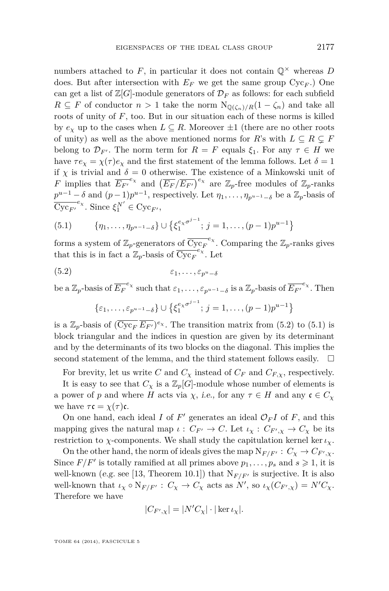numbers attached to  $F$ , in particular it does not contain  $\mathbb{Q}^{\times}$  whereas  $D$ does. But after intersection with  $E_F$  we get the same group  $Cyc_F$ .) One can get a list of  $\mathbb{Z}[G]$ -module generators of  $\mathcal{D}_F$  as follows: for each subfield *R* ⊆ *F* of conductor *n* > 1 take the norm  $N_{\mathbb{O}(\zeta_n)/R}(1 - \zeta_n)$  and take all roots of unity of  $F$ , too. But in our situation each of these norms is killed by  $e_\chi$  up to the cases when  $L \subseteq R$ . Moreover  $\pm 1$  (there are no other roots of unity) as well as the above mentioned norms for *R*'s with  $L \subseteq R \subseteq F$ belong to  $\mathcal{D}_{F'}$ . The norm term for  $R = F$  equals  $\xi_1$ . For any  $\tau \in H$  we have  $\tau e_{\gamma} = \chi(\tau) e_{\gamma}$  and the first statement of the lemma follows. Let  $\delta = 1$ if  $\chi$  is trivial and  $\delta = 0$  otherwise. The existence of a Minkowski unit of *F* implies that  $\overline{E_{F'}}^{e_\chi}$  and  $(\overline{E_F}/\overline{E_{F'}})^{e_\chi}$  are  $\mathbb{Z}_p$ -free modules of  $\mathbb{Z}_p$ -ranks  $p^{u-1} - \delta$  and  $(p-1)p^{u-1}$ , respectively. Let  $\eta_1, \ldots, \eta_{p^{u-1}-\delta}$  be a  $\mathbb{Z}_p$ -basis of  $\overline{\mathrm{Cyc}_{F'}}^{e_{\chi}}$ . Since  $\xi_1^{N'} \in \mathrm{Cyc}_{F'}$ ,

(5.1) 
$$
\{\eta_1,\ldots,\eta_{p^{u-1}-\delta}\}\cup\{\xi_1^{e_\chi\sigma^{j-1}};j=1,\ldots,(p-1)p^{u-1}\}\
$$

forms a system of  $\mathbb{Z}_p$ -generators of  $\overline{\text{Cyc}_F}^{e_\chi}$ . Comparing the  $\mathbb{Z}_p$ -ranks gives that this is in fact a  $\mathbb{Z}_p$ -basis of  $\overline{\text{Cyc}_F}^{e_\chi}$ . Let

$$
(5.2) \qquad \qquad \varepsilon_1, \ldots, \varepsilon_{p^u-\delta}
$$

be a  $\mathbb{Z}_p$ -basis of  $\overline{E_F}^{e_\chi}$  such that  $\varepsilon_1, \ldots, \varepsilon_{p^{u-1}-\delta}$  is a  $\mathbb{Z}_p$ -basis of  $\overline{E_{F'}}^{e_\chi}$ . Then

$$
\{\varepsilon_1, \ldots, \varepsilon_{p^{u-1}-\delta}\} \cup \{\xi_1^{e_{\chi}\sigma^{j-1}}; j=1, \ldots, (p-1)p^{u-1}\}
$$

is a  $\mathbb{Z}_p$ -basis of  $(\overline{\text{Cyc}_F} \ \overline{E_{F'}})^{e_\chi}$ . The transition matrix from (5.2) to (5.1) is block triangular and the indices in question are given by its determinant and by the determinants of its two blocks on the diagonal. This implies the second statement of the lemma, and the third statement follows easily.  $\quad \Box$ 

For brevity, let us write *C* and  $C_{\chi}$  instead of  $C_F$  and  $C_{F,\chi}$ , respectively.

It is easy to see that  $C_\chi$  is a  $\mathbb{Z}_p[G]$ -module whose number of elements is a power of *p* and where *H* acts via *χ*, *i.e.*, for any  $\tau \in H$  and any  $\mathfrak{c} \in C_{\chi}$ we have  $\tau \mathfrak{c} = \chi(\tau) \mathfrak{c}$ .

On one hand, each ideal  $I$  of  $F'$  generates an ideal  $\mathcal{O}_F I$  of  $F$ , and this mapping gives the natural map  $\iota : C_{F'} \to C$ . Let  $\iota_{\chi} : C_{F',\chi} \to C_{\chi}$  be its restriction to *χ*-components. We shall study the capitulation kernel ker  $\iota_{\chi}$ .

On the other hand, the norm of ideals gives the map  $N_{F/F'}$ :  $C_{\chi} \rightarrow C_{F',\chi}$ . Since  $F/F'$  is totally ramified at all primes above  $p_1, \ldots, p_s$  and  $s \geq 1$ , it is well-known (e.g. see [\[13,](#page-39-0) Theorem 10.1]) that  $N_{F/F'}$  is surjective. It is also well-known that  $\iota_{\chi} \circ N_{F/F'} : C_{\chi} \to C_{\chi}$  acts as  $N'$ , so  $\iota_{\chi}(C_{F',\chi}) = N'C_{\chi}$ . Therefore we have

$$
|C_{F',\chi}| = |N'C_{\chi}| \cdot |\ker \iota_{\chi}|.
$$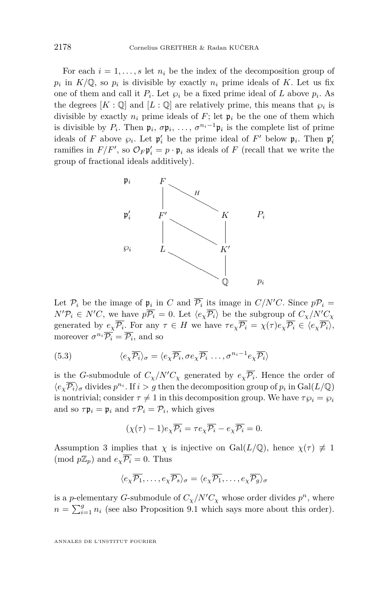<span id="page-14-0"></span>For each  $i = 1, \ldots, s$  let  $n_i$  be the index of the decomposition group of  $p_i$  in  $K/\mathbb{Q}$ , so  $p_i$  is divisible by exactly  $n_i$  prime ideals of K. Let us fix one of them and call it  $P_i$ . Let  $\wp_i$  be a fixed prime ideal of *L* above  $p_i$ . As the degrees  $[K : \mathbb{Q}]$  and  $[L : \mathbb{Q}]$  are relatively prime, this means that  $\wp_i$  is divisible by exactly  $n_i$  prime ideals of  $F$ ; let  $\mathfrak{p}_i$  be the one of them which is divisible by  $P_i$ . Then  $\mathfrak{p}_i, \sigma \mathfrak{p}_i, \ldots, \sigma^{n_i-1} \mathfrak{p}_i$  is the complete list of prime ideals of *F* above  $\wp_i$ . Let  $\mathfrak{p}'_i$  be the prime ideal of *F'* below  $\mathfrak{p}_i$ . Then  $\mathfrak{p}'_i$ ramifies in  $F/F'$ , so  $\mathcal{O}_F \mathfrak{p}'_i = p \cdot \mathfrak{p}_i$  as ideals of  $F$  (recall that we write the group of fractional ideals additively).



Let  $\mathcal{P}_i$  be the image of  $\mathfrak{p}_i$  in *C* and  $\overline{\mathcal{P}_i}$  its image in  $C/N'C$ . Since  $p\mathcal{P}_i =$  $N'P_i \in N'C$ , we have  $p\overline{P_i} = 0$ . Let  $\langle e_\chi \overline{P_i} \rangle$  be the subgroup of  $C_\chi/N'C_\chi$ generated by  $e_\chi \mathcal{P}_i$ . For any  $\tau \in H$  we have  $\tau e_\chi \mathcal{P}_i = \chi(\tau) e_\chi \mathcal{P}_i \in \langle e_\chi \mathcal{P}_i \rangle$ , moreover  $\sigma^{n_i} \overline{P_i} = \overline{P_i}$ , and so

(5.3) 
$$
\langle e_{\chi} \overline{P_i} \rangle_{\sigma} = \langle e_{\chi} \overline{P_i}, \sigma e_{\chi} \overline{P_i} \dots, \sigma^{n_i - 1} e_{\chi} \overline{P_i} \rangle
$$

is the *G*-submodule of  $C_{\chi}/N'C_{\chi}$  generated by  $e_{\chi}\overline{P_i}$ . Hence the order of  $\langle e_{\chi} \overline{P_i} \rangle_{\sigma}$  divides  $p^{n_i}$ . If  $i > g$  then the decomposition group of  $p_i$  in Gal(*L*/Q) is nontrivial; consider  $\tau \neq 1$  in this decomposition group. We have  $\tau \wp_i = \wp_i$ and so  $\tau \mathfrak{p}_i = \mathfrak{p}_i$  and  $\tau \mathcal{P}_i = \mathcal{P}_i$ , which gives

$$
(\chi(\tau) - 1)e_{\chi}\overline{\mathcal{P}_i} = \tau e_{\chi}\overline{\mathcal{P}_i} - e_{\chi}\overline{\mathcal{P}_i} = 0.
$$

Assumption [3](#page-12-0) implies that  $\chi$  is injective on Gal( $L/\mathbb{Q}$ ), hence  $\chi(\tau) \neq 1$  $(\text{mod } p\mathbb{Z}_p)$  and  $e_\gamma \overline{\mathcal{P}_i} = 0$ . Thus

$$
\langle e_{\chi}\overline{\mathcal{P}_1},\ldots,e_{\chi}\overline{\mathcal{P}_s}\rangle_{\sigma} = \langle e_{\chi}\overline{\mathcal{P}_1},\ldots,e_{\chi}\overline{\mathcal{P}_g}\rangle_{\sigma}
$$

is a *p*-elementary *G*-submodule of  $C_{\chi}/N'C_{\chi}$  whose order divides  $p^{n}$ , where  $n = \sum_{i=1}^{g} n_i$  (see also Proposition [9.1](#page-35-0) which says more about this order).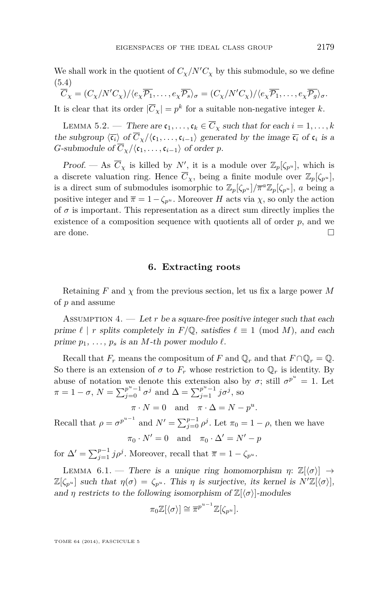<span id="page-15-0"></span>We shall work in the quotient of  $C_{\chi}/N^{\prime}C_{\chi}$  by this submodule, so we define (5.4)

 $\overline{C}_{\nu} = (C_{\nu}/N'C_{\nu})/(e_{\nu}\overline{p_1}, \ldots, e_{\nu}\overline{p_s})_{\sigma} = (C_{\nu}/N'C_{\nu})/(e_{\nu}\overline{p_1}, \ldots, e_{\nu}\overline{p_s})_{\sigma}.$ It is clear that its order  $|\overline{C}_\chi| = p^k$  for a suitable non-negative integer *k*.

LEMMA 5.2. — There are  $\mathfrak{c}_1, \ldots, \mathfrak{c}_k \in \overline{C}_\chi$  such that for each  $i = 1, \ldots, k$ the subgroup  $\langle \overline{\mathfrak{c}_i} \rangle$  of  $C_{\chi}/\langle \mathfrak{c}_1, \ldots, \mathfrak{c}_{i-1} \rangle$  generated by the image  $\overline{\mathfrak{c}_i}$  of  $\mathfrak{c}_i$  is a *G*-submodule of  $\overline{C}_Y/\langle \mathfrak{c}_1, \ldots, \mathfrak{c}_{i-1} \rangle$  of order *p*.

Proof. — As  $\overline{C}_{\chi}$  is killed by *N'*, it is a module over  $\mathbb{Z}_p[\zeta_{p^u}]$ , which is a discrete valuation ring. Hence  $\overline{C}_\chi$ , being a finite module over  $\mathbb{Z}_p[\zeta_{p^u}]$ , is a direct sum of submodules isomorphic to  $\mathbb{Z}_p[\zeta_{p^u}]/\overline{\pi}^a \mathbb{Z}_p[\zeta_{p^u}]$ , *a* being a positive integer and  $\bar{\pi} = 1 - \zeta_{p^u}$ . Moreover *H* acts via *χ*, so only the action of  $\sigma$  is important. This representation as a direct sum directly implies the existence of a composition sequence with quotients all of order *p*, and we are done.  $\Box$ 

#### **6. Extracting roots**

Retaining *F* and *χ* from the previous section, let us fix a large power *M* of *p* and assume

ASSUMPTION 4.  $-$  Let *r* be a square-free positive integer such that each prime  $\ell \mid r$  splits completely in  $F/\mathbb{Q}$ , satisfies  $\ell \equiv 1 \pmod{M}$ , and each prime  $p_1, \ldots, p_s$  is an *M*-th power modulo  $\ell$ .

Recall that  $F_r$  means the compositum of  $F$  and  $\mathbb{Q}_r$  and that  $F \cap \mathbb{Q}_r = \mathbb{Q}$ . So there is an extension of  $\sigma$  to  $F_r$  whose restriction to  $\mathbb{Q}_r$  is identity. By abuse of notation we denote this extension also by  $\sigma$ ; still  $\sigma^{p^u} = 1$ . Let  $\pi = 1 - \sigma$ ,  $N = \sum_{j=0}^{p^u-1} \sigma^j$  and  $\Delta = \sum_{j=1}^{p^u-1} j \sigma^j$ , so

 $\pi \cdot N = 0$  and  $\pi \cdot \Delta = N - p^u$ .

Recall that  $\rho = \sigma^{p^{u-1}}$  and  $N' = \sum_{j=0}^{p-1} \rho^j$ . Let  $\pi_0 = 1 - \rho$ , then we have

 $\pi_0 \cdot N' = 0$  and  $\pi_0 \cdot \Delta' = N' - p$ 

for  $\Delta' = \sum_{j=1}^{p-1} j \rho^j$ . Moreover, recall that  $\overline{\pi} = 1 - \zeta_{p^u}$ .

LEMMA 6.1. — There is a unique ring homomorphism  $\eta: \mathbb{Z}[\langle \sigma \rangle] \rightarrow$  $\mathbb{Z}[\zeta_{p^u}]$  such that  $\eta(\sigma) = \zeta_{p^u}$ . This  $\eta$  is surjective, its kernel is  $N'\mathbb{Z}[\langle \sigma \rangle],$ and *η* restricts to the following isomorphism of  $\mathbb{Z}[\langle \sigma \rangle]$ -modules

$$
\pi_0 \mathbb{Z}[\langle \sigma \rangle] \cong \overline{\pi}^{p^{u-1}} \mathbb{Z}[\zeta_{p^u}].
$$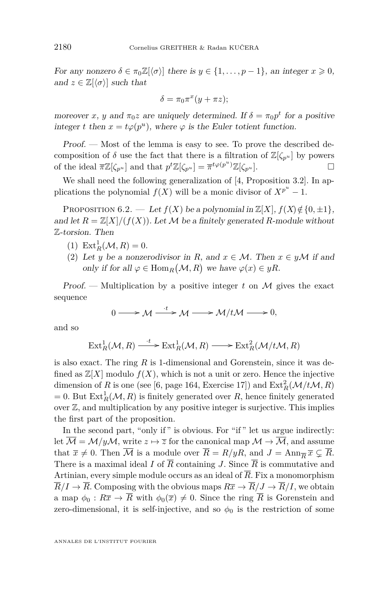<span id="page-16-0"></span>For any nonzero  $\delta \in \pi_0 \mathbb{Z}[\langle \sigma \rangle]$  there is  $y \in \{1, \ldots, p-1\}$ , an integer  $x \geq 0$ , and  $z \in \mathbb{Z}[\langle \sigma \rangle]$  such that

$$
\delta = \pi_0 \pi^x (y + \pi z);
$$

moreover *x*, *y* and  $\pi_0 z$  are uniquely determined. If  $\delta = \pi_0 p^t$  for a positive integer *t* then  $x = t\varphi(p^u)$ , where  $\varphi$  is the Euler totient function.

Proof. — Most of the lemma is easy to see. To prove the described decomposition of  $\delta$  use the fact that there is a filtration of  $\mathbb{Z}[\zeta_{p^u}]$  by powers of the ideal  $\overline{\pi}\mathbb{Z}[\zeta_{p}u]$  and that  $p^t\mathbb{Z}[\zeta_{p}u] = \overline{\pi}^{t\varphi(p^u)}\mathbb{Z}[\zeta_{p^u}].$ 

We shall need the following generalization of  $[4,$  Proposition 3.2]. In applications the polynomial  $f(X)$  will be a monic divisor of  $X^{p^u} - 1$ .

PROPOSITION 6.2. — Let  $f(X)$  be a polynomial in  $\mathbb{Z}[X]$ ,  $f(X) \notin \{0, \pm 1\}$ , and let  $R = \mathbb{Z}[X]/(f(X))$ . Let M be a finitely generated R-module without Z-torsion. Then

- (1)  $\text{Ext}_{R}^{1}(\mathcal{M}, R) = 0.$
- (2) Let *y* be a nonzerodivisor in *R*, and  $x \in M$ . Then  $x \in y\mathcal{M}$  if and only if for all  $\varphi \in \text{Hom}_R(\mathcal{M}, R)$  we have  $\varphi(x) \in yR$ .

Proof. — Multiplication by a positive integer *t* on M gives the exact sequence

$$
0 \longrightarrow \mathcal{M} \xrightarrow{\cdot t} \mathcal{M} \longrightarrow \mathcal{M}/t\mathcal{M} \longrightarrow 0,
$$

and so

$$
\operatorname{Ext}^1_R(\mathcal{M}, R) \xrightarrow{\cdot t} \operatorname{Ext}^1_R(\mathcal{M}, R) \longrightarrow \operatorname{Ext}^2_R(\mathcal{M}/t\mathcal{M}, R)
$$

is also exact. The ring *R* is 1-dimensional and Gorenstein, since it was defined as  $\mathbb{Z}[X]$  modulo  $f(X)$ , which is not a unit or zero. Hence the injective dimension of *R* is one (see [\[6,](#page-39-0) page 164, Exercise 17]) and  $\text{Ext}_{R}^{2}(\mathcal{M}/t\mathcal{M}, R)$  $= 0$ . But  $\text{Ext}^1_R(\mathcal{M}, R)$  is finitely generated over *R*, hence finitely generated over Z, and multiplication by any positive integer is surjective. This implies the first part of the proposition.

In the second part, "only if" is obvious. For "if" let us argue indirectly: let  $\overline{\mathcal{M}} = \mathcal{M}/y\mathcal{M}$ , write  $z \mapsto \overline{z}$  for the canonical map  $\mathcal{M} \to \overline{\mathcal{M}}$ , and assume that  $\bar{x} \neq 0$ . Then  $\overline{\mathcal{M}}$  is a module over  $\overline{R} = R/yR$ , and  $J = \text{Ann}_{\overline{R}} \overline{x} \subsetneq \overline{R}$ . There is a maximal ideal *I* of  $\overline{R}$  containing *J*. Since  $\overline{R}$  is commutative and Artinian, every simple module occurs as an ideal of  $\overline{R}$ . Fix a monomorphism  $\overline{R}/I \rightarrow \overline{R}$ . Composing with the obvious maps  $R\overline{x} \rightarrow \overline{R}/J \rightarrow \overline{R}/I$ , we obtain a map  $\phi_0 : R\overline{x} \to \overline{R}$  with  $\phi_0(\overline{x}) \neq 0$ . Since the ring  $\overline{R}$  is Gorenstein and zero-dimensional, it is self-injective, and so  $\phi_0$  is the restriction of some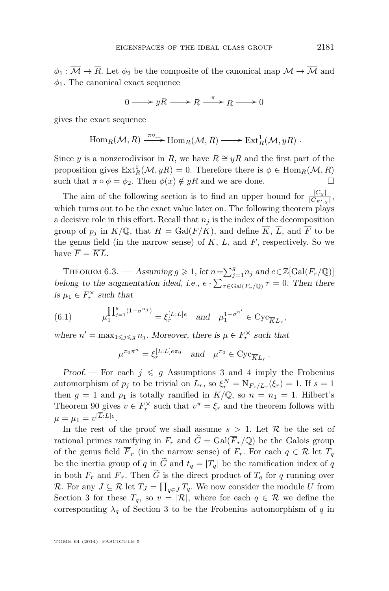<span id="page-17-0"></span> $\phi_1 : \overline{\mathcal{M}} \to \overline{\mathcal{R}}$ . Let  $\phi_2$  be the composite of the canonical map  $\mathcal{M} \to \overline{\mathcal{M}}$  and  $\phi_1$ . The canonical exact sequence

$$
0 \longrightarrow yR \longrightarrow R \stackrel{\pi}{\longrightarrow} \overline{R} \longrightarrow 0
$$

gives the exact sequence

$$
\text{Hom}_R(\mathcal{M}, R) \xrightarrow{\pi \circ \text{--}} \text{Hom}_R(\mathcal{M}, \overline{R}) \longrightarrow \text{Ext}^1_R(\mathcal{M}, yR) .
$$

Since *y* is a nonzerodivisor in *R*, we have  $R \cong yR$  and the first part of the proposition gives  $\text{Ext}^1_R(\mathcal{M}, yR) = 0$ . Therefore there is  $\phi \in \text{Hom}_R(\mathcal{M}, R)$ such that  $\pi \circ \phi = \phi_2$ . Then  $\phi(x) \notin yR$  and we are done.

The aim of the following section is to find an upper bound for  $\frac{|C_x|}{|C_{F',x}|}$ , which turns out to be the exact value later on. The following theorem plays a decisive role in this effort. Recall that  $n_j$  is the index of the decomposition group of  $p_j$  in  $K/\mathbb{Q}$ , that  $H = \text{Gal}(F/K)$ , and define  $\overline{K}$ ,  $\overline{L}$ , and  $\overline{F}$  to be the genus field (in the narrow sense) of  $K$ ,  $L$ , and  $F$ , respectively. So we have  $\overline{F} = \overline{KL}$ .

THEOREM 6.3. — Assuming  $g \geq 1$ , let  $n = \sum_{j=1}^{g} n_j$  and  $e \in \mathbb{Z}[\text{Gal}(F_r/\mathbb{Q})]$ belong to the augmentation ideal, i.e.,  $e \cdot \sum_{\tau \in \text{Gal}(F_r/\mathbb{Q})} \tau = 0$ . Then there is  $\mu_1 \in F_r^{\times}$  such that

(6.1) 
$$
\mu_1^{\prod_{j=1}^g (1 - \sigma^{n_j})} = \xi_r^{[\overline{L}:L]e} \text{ and } \mu_1^{1 - \sigma^{n'}} \in \text{Cyc}_{\overline{K}L_r},
$$

where  $n' = \max_{1 \leq j \leq g} n_j$ . Moreover, there is  $\mu \in F_r^{\times}$  such that

$$
\mu^{\pi_0 \pi^n} = \xi_r^{[\overline{L}:L]e\pi_0} \quad \text{and} \quad \mu^{\pi_0} \in \text{Cyc}_{\overline{K}L_r} \, .
$$

Proof. – For each  $j \leq q$  Assumptions [3](#page-12-0) and [4](#page-15-0) imply the Frobenius automorphism of  $p_j$  to be trivial on  $L_r$ , so  $\xi_r^N = N_{F_r/L_r}(\xi_r) = 1$ . If  $s = 1$ then  $g = 1$  and  $p_1$  is totally ramified in  $K/\mathbb{Q}$ , so  $n = n_1 = 1$ . Hilbert's Theorem 90 gives  $v \in F_r^{\times}$  such that  $v^{\pi} = \xi_r$  and the theorem follows with  $\mu = \mu_1 = v^{[L:L]e}$ .

In the rest of the proof we shall assume  $s > 1$ . Let R be the set of rational primes ramifying in  $F_r$  and  $\widetilde{G} = \text{Gal}(\overline{F}_r/\mathbb{Q})$  be the Galois group of the genus field  $\overline{F}_r$  (in the narrow sense) of  $F_r$ . For each  $q \in \mathcal{R}$  let  $T_q$ be the inertia group of *q* in  $\tilde{G}$  and  $t_q = |T_q|$  be the ramification index of *q* in both  $F_r$  and  $\overline{F}_r$ . Then  $\widetilde{G}$  is the direct product of  $T_q$  for q running over *R*. For any *J* ⊆ *R* let  $T_J$  =  $\prod_{q \in J} T_q$ . We now consider the module *U* from Section [3](#page-9-0) for these  $T_q$ , so  $v = |\mathcal{R}|$ , where for each  $q \in \mathcal{R}$  we define the corresponding  $\lambda_q$  of Section [3](#page-9-0) to be the Frobenius automorphism of *q* in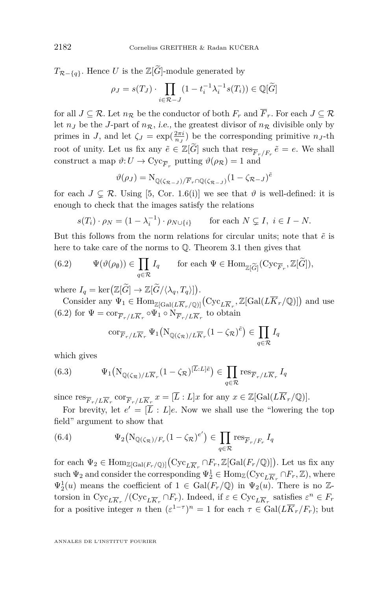$T_{\mathcal{R}-\{q\}}$ . Hence *U* is the Z[ $\widetilde{G}$ ]-module generated by

$$
\rho_J = s(T_J) \cdot \prod_{i \in \mathcal{R}-J} (1 - t_i^{-1} \lambda_i^{-1} s(T_i)) \in \mathbb{Q}[\widetilde{G}]
$$

for all  $J \subseteq \mathcal{R}$ . Let  $n_{\mathcal{R}}$  be the conductor of both  $F_r$  and  $\overline{F}_r$ . For each  $J \subseteq \mathcal{R}$ let  $n<sub>J</sub>$  be the *J*-part of  $n<sub>R</sub>$ , *i.e.*, the greatest divisor of  $n<sub>R</sub>$  divisible only by primes in *J*, and let  $\zeta_J = \exp(\frac{2\pi i}{n_J})$  be the corresponding primitive  $n_J$ -th root of unity. Let us fix any  $\tilde{e} \in \mathbb{Z}[\tilde{G}]$  such that  $\text{res}_{\overline{F}_r/F_r}\tilde{e} = e$ . We shall construct a map  $\vartheta: U \to \text{Cyc}_{\overline{F}_r}$  putting  $\vartheta(\rho_{\mathcal{R}}) = 1$  and

$$
\vartheta(\rho_J) = \mathrm{N}_{\mathbb{Q}(\zeta_{\mathcal{R}-J})/\overline{F}_r \cap \mathbb{Q}(\zeta_{\mathcal{R}-J})} (1 - \zeta_{\mathcal{R}-J})^{\tilde{e}}
$$

for each  $J \subseteq \mathcal{R}$ . Using [\[5,](#page-39-0) Cor. 1.6(i)] we see that  $\vartheta$  is well-defined: it is enough to check that the images satisfy the relations

$$
s(T_i) \cdot \rho_N = (1 - \lambda_i^{-1}) \cdot \rho_{N \cup \{i\}} \qquad \text{for each } N \subsetneq I, \ i \in I - N.
$$

But this follows from the norm relations for circular units; note that  $\tilde{e}$  is here to take care of the norms to Q. Theorem [3.1](#page-10-0) then gives that

(6.2) 
$$
\Psi(\vartheta(\rho_{\emptyset})) \in \prod_{q \in \mathcal{R}} I_q \quad \text{for each } \Psi \in \text{Hom}_{\mathbb{Z}[\widetilde{G}]}(\text{Cyc}_{\overline{F}_r}, \mathbb{Z}[\widetilde{G}]),
$$

where  $I_q = \ker(\mathbb{Z}[\widetilde{G}] \to \mathbb{Z}[\widetilde{G}/\langle \lambda_q, T_q \rangle]).$ 

Consider any  $\Psi_1 \in \text{Hom}_{\mathbb{Z}[\text{Gal}(L\overline{K}_r/\mathbb{Q})]}(\text{Cyc}_{L\overline{K}_r}, \mathbb{Z}[\text{Gal}(L\overline{K}_r/\mathbb{Q})])$  and use (6.2) for  $\Psi = \text{cor}_{\overline{F}_r/L\overline{K}_r} \circ \Psi_1 \circ N_{\overline{F}_r/L\overline{K}_r}$  to obtain

$$
\operatorname{cor}_{\overline{F}_r/L\overline{K}_r} \Psi_1(N_{\mathbb{Q}(\zeta_{\mathcal{R}})/L\overline{K}_r}(1-\zeta_{\mathcal{R}})^{\tilde{e}}) \in \prod_{q \in \mathcal{R}} I_q
$$

which gives

(6.3) 
$$
\Psi_1(N_{\mathbb{Q}(\zeta_{\mathcal{R}})/L\overline{K}_r}(1-\zeta_{\mathcal{R}})^{[\overline{L}:L]\tilde{e}}) \in \prod_{q \in \mathcal{R}} \text{res}_{\overline{F}_r/L\overline{K}_r} I_q
$$

since  $\text{res}_{\overline{F}_r/L\overline{K}_r} \text{ cor}_{\overline{F}_r/L\overline{K}_r} x = [\overline{L}:L]x$  for any  $x \in \mathbb{Z}[\text{Gal}(L\overline{K}_r/\mathbb{Q})].$ 

For brevity, let  $e' = [\overline{L} : L]e$ . Now we shall use the "lowering the top field" argument to show that

(6.4) 
$$
\Psi_2(N_{\mathbb{Q}(\zeta_{\mathcal{R}})/F_r}(1-\zeta_{\mathcal{R}})^{e'}) \in \prod_{q \in \mathcal{R}} \text{res}_{\overline{F}_r/F_r} I_q
$$

for each  $\Psi_2 \in \text{Hom}_{\mathbb{Z}[\text{Gal}(F_r/\mathbb{Q})]}(\text{Cyc}_{L\overline{K}_r} \cap F_r, \mathbb{Z}[\text{Gal}(F_r/\mathbb{Q})])$ . Let us fix any such  $\Psi_2$  and consider the corresponding  $\Psi_2^1 \in \text{Hom}_{\mathbb{Z}}(\text{Cyc}_{L\overline{K}_r} \cap F_r, \mathbb{Z})$ , where  $\Psi_2^1(u)$  means the coefficient of  $1 \in \text{Gal}(F_r/\mathbb{Q})$  in  $\Psi_2(u)$ . There is no Ztorsion in  $Cyc_{L\overline{K}_r}/(Cyc_{L\overline{K}_r} \cap F_r)$ . Indeed, if  $\varepsilon \in Cyc_{L\overline{K}_r}$  satisfies  $\varepsilon^n \in F_r$ for a positive integer *n* then  $(\varepsilon^{1-\tau})^n = 1$  for each  $\tau \in \text{Gal}(L\overline{K}_r/F_r)$ ; but

<span id="page-18-0"></span>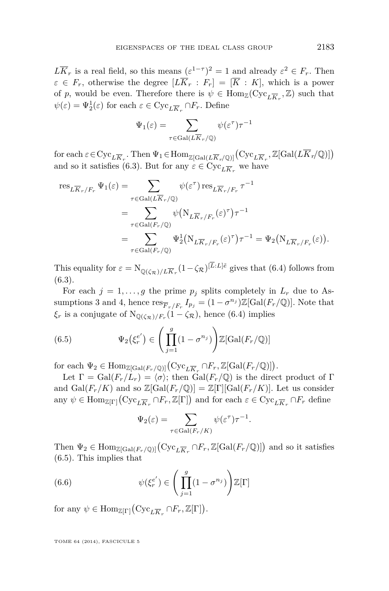<span id="page-19-0"></span> $L\overline{K}_r$  is a real field, so this means  $(\varepsilon^{1-\tau})^2 = 1$  and already  $\varepsilon^2 \in F_r$ . Then  $\varepsilon \in F_r$ , otherwise the degree  $[L\overline{K}_r : F_r] = [\overline{K} : K]$ , which is a power of *p*, would be even. Therefore there is  $\psi \in \text{Hom}_{\mathbb{Z}}(\text{Cyc}_{L\overline{K}_r}, \mathbb{Z})$  such that  $\psi(\varepsilon) = \Psi_2^1(\varepsilon)$  for each  $\varepsilon \in \text{Cyc}_{L\overline{K}_r} \cap F_r$ . Define

$$
\Psi_1(\varepsilon) = \sum_{\tau \in \text{Gal}(L\overline{K}_r/\mathbb{Q})} \psi(\varepsilon^{\tau})\tau^{-1}
$$

 $\text{for each } \varepsilon \in \text{Cyc}_{L\overline{K}_r}$ . Then  $\Psi_1 \in \text{Hom}_{\mathbb{Z}[\text{Gal}(L\overline{K}_r/\mathbb{Q})]}(\text{Cyc}_{L\overline{K}_r}, \mathbb{Z}[\text{Gal}(L\overline{K}_r/\mathbb{Q})])$ and so it satisfies [\(6.3\)](#page-18-0). But for any  $\varepsilon \in \text{Cyc}_{L\overline{K}_r}$  we have

$$
\begin{split} \text{res}_{L\overline{K}_r/F_r} \, \Psi_1(\varepsilon) & = \sum_{\tau \in \text{Gal}(L\overline{K}_r/\mathbb{Q})} \psi(\varepsilon^{\tau}) \, \text{res}_{L\overline{K}_r/F_r} \, \tau^{-1} \\ & = \sum_{\tau \in \text{Gal}(F_r/\mathbb{Q})} \psi\big(\mathcal{N}_{L\overline{K}_r/F_r}(\varepsilon)^{\tau}\big) \tau^{-1} \\ & = \sum_{\tau \in \text{Gal}(F_r/\mathbb{Q})} \Psi_2^1\big(\mathcal{N}_{L\overline{K}_r/F_r}(\varepsilon)^{\tau}\big) \tau^{-1} = \Psi_2\big(\mathcal{N}_{L\overline{K}_r/F_r}(\varepsilon)\big). \end{split}
$$

This equality for  $\varepsilon = N_{\mathbb{Q}(\zeta_{\mathcal{R}})/L\overline{K}_r}(1-\zeta_{\mathcal{R}})^{[L:L]\tilde{e}}$  gives that [\(6.4\)](#page-18-0) follows from [\(6.3\)](#page-18-0).

For each  $j = 1, \ldots, g$  the prime  $p_j$  splits completely in  $L_r$  due to As-sumptions [3](#page-12-0) and [4,](#page-15-0) hence  $\text{res}_{\overline{F}_r/F_r} I_{p_j} = (1 - \sigma^{n_j})\mathbb{Z}[\text{Gal}(F_r/\mathbb{Q})]$ . Note that  $\xi_r$  is a conjugate of  $N_{\mathbb{Q}(\zeta_{\mathcal{R}})/F_r}(1 - \zeta_{\mathcal{R}})$ , hence [\(6.4\)](#page-18-0) implies

(6.5) 
$$
\Psi_2(\xi_r^{e'}) \in \left(\prod_{j=1}^g (1 - \sigma^{n_j})\right) \mathbb{Z}[\text{Gal}(F_r/\mathbb{Q})]
$$

for each  $\Psi_2 \in \text{Hom}_{\mathbb{Z}[\text{Gal}(F_r/\mathbb{Q})]}(\text{Cyc}_{L\overline{K}_r} \cap F_r, \mathbb{Z}[\text{Gal}(F_r/\mathbb{Q})])$ .

Let  $\Gamma = \text{Gal}(F_r/L_r) = \langle \sigma \rangle$ ; then  $\text{Gal}(F_r/\mathbb{Q})$  is the direct product of  $\Gamma$ and  $Gal(F_r/K)$  and so  $\mathbb{Z}[Gal(F_r/\mathbb{Q})] = \mathbb{Z}[\Gamma][Gal(F_r/K)]$ . Let us consider any  $\psi \in \text{Hom}_{\mathbb{Z}[\Gamma]}(\text{Cyc}_{L\overline{K}_r} \cap F_r, \mathbb{Z}[\Gamma])$  and for each  $\varepsilon \in \text{Cyc}_{L\overline{K}_r} \cap F_r$  define

$$
\Psi_2(\varepsilon) = \sum_{\tau \in \text{Gal}(F_r/K)} \psi(\varepsilon^{\tau}) \tau^{-1}.
$$

Then  $\Psi_2 \in \text{Hom}_{\mathbb{Z}[\text{Gal}(F_r/\mathbb{Q})]}(\text{Cyc}_{L\overline{K}_r} \cap F_r, \mathbb{Z}[\text{Gal}(F_r/\mathbb{Q})])$  and so it satisfies (6.5). This implies that

(6.6) 
$$
\psi(\xi_r^{e'}) \in \left(\prod_{j=1}^g (1 - \sigma^{n_j})\right) \mathbb{Z}[\Gamma]
$$

for any  $\psi \in \text{Hom}_{\mathbb{Z}[\Gamma]}(\text{Cyc}_{L\overline{K}_r} \cap F_r, \mathbb{Z}[\Gamma]).$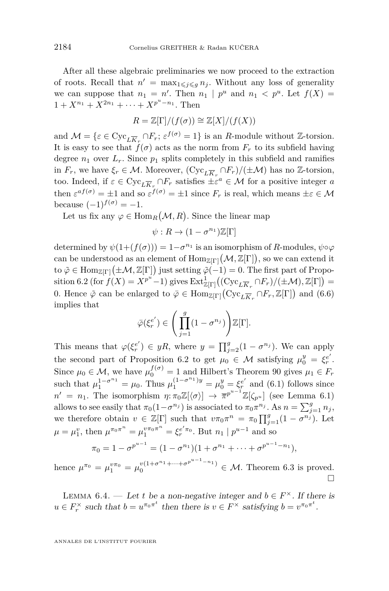<span id="page-20-0"></span>After all these algebraic preliminaries we now proceed to the extraction of roots. Recall that  $n' = \max_{1 \leq j \leq g} n_j$ . Without any loss of generality we can suppose that  $n_1 = n'$ . Then  $n_1 | p^u$  and  $n_1 < p^u$ . Let  $f(X) =$  $1 + X^{n_1} + X^{2n_1} + \cdots + X^{p^u - n_1}$ . Then

$$
R = \mathbb{Z}[\Gamma]/(f(\sigma)) \cong \mathbb{Z}[X]/(f(X))
$$

and  $\mathcal{M} = \{ \varepsilon \in \text{Cyc}_{L\overline{K}_r} \cap F_r; \varepsilon^{f(\sigma)} = 1 \}$  is an *R*-module without Z-torsion. It is easy to see that  $f(\sigma)$  acts as the norm from  $F_r$  to its subfield having degree  $n_1$  over  $L_r$ . Since  $p_1$  splits completely in this subfield and ramifies in  $F_r$ , we have  $\xi_r \in \mathcal{M}$ . Moreover,  $(\text{Cyc}_{L\overline{K}_r} \cap F_r)/(\pm \mathcal{M})$  has no Z-torsion, too. Indeed, if  $\varepsilon \in \text{Cyc}_{L\overline{K}_r} \cap F_r$  satisfies  $\pm \varepsilon^a \in \mathcal{M}$  for a positive integer *a* then  $\varepsilon^{af(\sigma)} = \pm 1$  and so  $\varepsilon^{f(\sigma)} = \pm 1$  since  $F_r$  is real, which means  $\pm \varepsilon \in \mathcal{M}$ because  $(-1)^{f(\sigma)} = -1$ .

Let us fix any  $\varphi \in \text{Hom}_R(\mathcal{M}, R)$ . Since the linear map

$$
\psi: R \to (1 - \sigma^{n_1}) \mathbb{Z}[\Gamma]
$$

determined by  $\psi(1+(f(\sigma))) = 1-\sigma^{n_1}$  is an isomorphism of *R*-modules,  $\psi \circ \varphi$ can be understood as an element of  $\text{Hom}_{\mathbb{Z}[\Gamma]}(\mathcal{M},\mathbb{Z}[\Gamma]),$  so we can extend it to  $\tilde{\varphi} \in \text{Hom}_{\mathbb{Z}[\Gamma]}(\pm \mathcal{M}, \mathbb{Z}[\Gamma])$  just setting  $\tilde{\varphi}(-1) = 0$ . The first part of Propo-sition [6.2](#page-16-0) (for  $f(X) = X^{p^u} - 1$ ) gives  $\text{Ext}^1_{\mathbb{Z}[\Gamma]}((\text{Cyc}_{L\overline{K}_r} \cap F_r)/(\pm \mathcal{M}), \mathbb{Z}[\Gamma]) =$ 0. Hence  $\tilde{\varphi}$  can be enlarged to  $\bar{\varphi} \in \text{Hom}_{\mathbb{Z}[\Gamma]}(\text{Cyc}_{L\overline{K}_r} \cap F_r, \mathbb{Z}[\Gamma])$  and [\(6.6\)](#page-19-0) implies that

$$
\bar{\varphi}(\xi_r^{e'}) \in \left(\prod_{j=1}^g (1 - \sigma^{n_j})\right) \mathbb{Z}[\Gamma].
$$

This means that  $\varphi(\xi_r^{e'}) \in yR$ , where  $y = \prod_{j=2}^g (1 - \sigma^{n_j})$ . We can apply the second part of Proposition [6.2](#page-16-0) to get  $\mu_0 \in \mathcal{M}$  satisfying  $\mu_0^y = \xi_r^{e'}$ . Since  $\mu_0 \in \mathcal{M}$ , we have  $\mu_0^{f(\sigma)} = 1$  and Hilbert's Theorem 90 gives  $\mu_1 \in F_r$ such that  $\mu_1^{1-\sigma^{n_1}} = \mu_0$ . Thus  $\mu_1^{(1-\sigma^{n_1})y} = \mu_0^y = \xi_r^{e'}$  and [\(6.1\)](#page-17-0) follows since  $n' = n_1$ . The isomorphism  $\eta: \pi_0 \mathbb{Z}[\langle \sigma \rangle] \rightarrow \overline{\pi}^{p^{u-1}} \mathbb{Z}[\zeta_{p^u}]$  (see Lemma [6.1\)](#page-15-0) allows to see easily that  $\pi_0(1-\sigma^{n_j})$  is associated to  $\pi_0\pi^{n_j}$ . As  $n=\sum_{j=1}^g n_j$ , we therefore obtain  $v \in \mathbb{Z}[\Gamma]$  such that  $v\pi_0\pi^n = \pi_0 \prod_{j=1}^g (1 - \sigma^{n_j}).$  Let  $\mu = \mu_1^v$ , then  $\mu^{\pi_0 \pi^n} = \mu_1^{v \pi_0 \pi^n} = \xi_r^{e' \pi_0}$ . But  $n_1 | p^{u-1}$  and so

$$
\pi_0 = 1 - \sigma^{p^{u-1}} = (1 - \sigma^{n_1})(1 + \sigma^{n_1} + \cdots + \sigma^{p^{u-1} - n_1}),
$$

hence  $\mu^{\pi_0} = \mu_1^{v\pi_0} = \mu_0^{v(1+\sigma^{n_1}+\cdots+\sigma^{p^{u-1}-n_1})} \in \mathcal{M}$ . Theorem [6.3](#page-17-0) is proved.  $\Box$ 

LEMMA 6.4. — Let *t* be a non-negative integer and  $b \in F^{\times}$ . If there is  $u \in F_r^{\times}$  such that  $b = u^{\pi_0 \pi^t}$  then there is  $v \in F^{\times}$  satisfying  $b = v^{\pi_0 \pi^t}$ .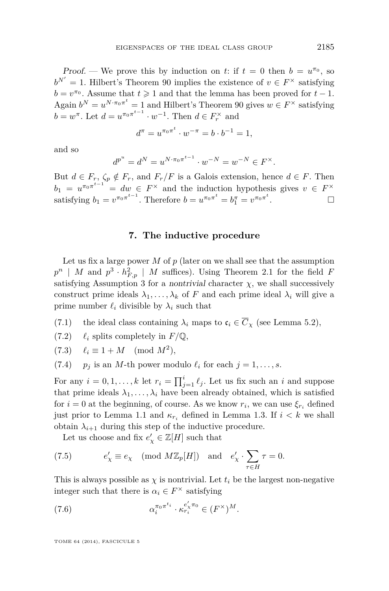<span id="page-21-0"></span>Proof. — We prove this by induction on *t*: if  $t = 0$  then  $b = u^{\pi_0}$ , so  $b^{N'} = 1$ . Hilbert's Theorem 90 implies the existence of  $v \in F^{\times}$  satisfying  $b = v^{\pi_0}$ . Assume that  $t \geq 1$  and that the lemma has been proved for  $t - 1$ . Again  $b^N = u^{N \cdot \pi_0 \pi^t} = 1$  and Hilbert's Theorem 90 gives  $w \in F^\times$  satisfying  $b = w^{\pi}$ . Let  $d = u^{\pi_0 \pi^{t-1}} \cdot w^{-1}$ . Then  $d \in F_r^{\times}$  and

$$
d^{\pi} = u^{\pi_0 \pi^t} \cdot w^{-\pi} = b \cdot b^{-1} = 1,
$$

and so

$$
d^{p^u} = d^N = u^{N \cdot \pi_0 \pi^{t-1}} \cdot w^{-N} = w^{-N} \in F^{\times}.
$$

But  $d \in F_r$ ,  $\zeta_p \notin F_r$ , and  $F_r/F$  is a Galois extension, hence  $d \in F$ . Then  $b_1 = u^{\pi_0 \pi^{t-1}} = dw \in F^\times$  and the induction hypothesis gives  $v \in F^\times$ satisfying  $b_1 = v^{\pi_0 \pi^{t-1}}$ . Therefore  $b = u^{\pi_0 \pi^t} = b_1^{\pi} = v^{\pi_0 \pi^t}$ . — Первый профессиональный стандарт и профессиональный стандарт и профессиональный стандарт и профессиональны<br>В собстановки профессиональный стандарт и профессиональный стандарт и профессиональный стандарт и профессионал

#### **7. The inductive procedure**

Let us fix a large power  $M$  of  $p$  (later on we shall see that the assumption  $p^n$  | *M* and  $p^3 \cdot h_{F,p}^2$  | *M* suffices). Using Theorem [2.1](#page-8-0) for the field *F* satisfying Assumption [3](#page-12-0) for a *nontrivial* character  $\chi$ , we shall successively construct prime ideals  $\lambda_1, \ldots, \lambda_k$  of *F* and each prime ideal  $\lambda_i$  will give a prime number  $\ell_i$  divisible by  $\lambda_i$  such that

- (7.1) the ideal class containing  $\lambda_i$  maps to  $\mathfrak{c}_i \in \overline{C}_{\chi}$  (see Lemma [5.2\)](#page-15-0),
- $(7.2)$   $\ell_i$  splits completely in  $F/\mathbb{Q}$ ,
- $(7.3)$   $\ell_i \equiv 1 + M \pmod{M^2}$ ,
- (7.4) *p<sub>j</sub>* is an *M*-th power modulo  $\ell_i$  for each  $j = 1, \ldots, s$ .

For any  $i = 0, 1, \ldots, k$  let  $r_i = \prod_{j=1}^{i} \ell_j$ . Let us fix such an *i* and suppose that prime ideals  $\lambda_1, \ldots, \lambda_i$  have been already obtained, which is satisfied for  $i = 0$  at the beginning, of course. As we know  $r_i$ , we can use  $\xi_{r_i}$  defined just prior to Lemma [1.1](#page-4-0) and  $\kappa_{r_i}$  defined in Lemma [1.3.](#page-6-0) If  $i < k$  we shall obtain  $\lambda_{i+1}$  during this step of the inductive procedure.

Let us choose and fix  $e'_{\chi} \in \mathbb{Z}[H]$  such that

(7.5) 
$$
e'_{\chi} \equiv e_{\chi} \pmod{M\mathbb{Z}_p[H]}
$$
 and  $e'_{\chi} \cdot \sum_{\tau \in H} \tau = 0$ .

This is always possible as  $\chi$  is nontrivial. Let  $t_i$  be the largest non-negative integer such that there is  $\alpha_i \in F^\times$  satisfying

(7.6) 
$$
\alpha_i^{\pi_0 \pi^{t_i}} \cdot \kappa_{r_i}^{e'_\chi \pi_0} \in (F^\times)^M.
$$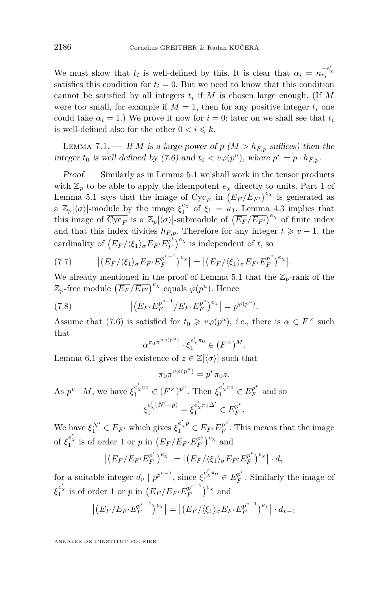<span id="page-22-0"></span>We must show that  $t_i$  is well-defined by this. It is clear that  $\alpha_i = \kappa_{r_i}^{-e'_x}$ satisfies this condition for  $t_i = 0$ . But we need to know that this condition cannot be satisfied by all integers  $t_i$  if  $M$  is chosen large enough. (If  $M$ were too small, for example if  $M = 1$ , then for any positive integer  $t_i$  one could take  $\alpha_i = 1$ .) We prove it now for  $i = 0$ ; later on we shall see that  $t_i$ is well-defined also for the other  $0 < i \leq k$ .

LEMMA 7.1. — If *M* is a large power of  $p$  ( $M > h_{F,p}$  suffices) then the integer  $t_0$  is well defined by [\(7.6\)](#page-21-0) and  $t_0 < v\varphi(p^u)$ , where  $p^v = p \cdot h_{F,p}$ .

Proof. — Similarly as in Lemma [5.1](#page-12-0) we shall work in the tensor products with  $\mathbb{Z}_p$  to be able to apply the idempotent  $e_\gamma$  directly to units. Part 1 of Lemma [5.1](#page-12-0) says that the image of  $\overline{\text{Cyc}_F}$  in  $\left(\overline{E_F}/\overline{E_{F'}}\right)^{e_\chi}$  is generated as a  $\mathbb{Z}_p[\langle \sigma \rangle]$ -module by the image  $\xi_1^{e_\chi}$  of  $\xi_1 = \kappa_1$ . Lemma [4.3](#page-11-0) implies that this image of  $\overline{\text{Cyc}_F}$  is a  $\mathbb{Z}_p[\langle \sigma \rangle]$ -submodule of  $(\overline{E_F}/\overline{E_{F'}})^{e_\chi}$  of finite index and that this index divides  $h_{F,p}$ . Therefore for any integer  $t \geq v-1$ , the cardinality of  $(E_F/\langle \xi_1 \rangle_{\sigma} E_{F'} E_F^{p^t}$  $\binom{p^t}{F}$ <sup>e<sub>x</sub></sup> is independent of *t*, so

$$
(7.7) \qquad \left| \left( E_F / \langle \xi_1 \rangle_{\sigma} E_{F'} E_F^{p^{v-1}} \right)^{e_\chi} \right| = \left| \left( E_F / \langle \xi_1 \rangle_{\sigma} E_{F'} E_F^{p^v} \right)^{e_\chi} \right|.
$$

We already mentioned in the proof of Lemma [5.1](#page-12-0) that the  $\mathbb{Z}_p$ -rank of the  $\mathbb{Z}_p$ -free module  $(\overline{E_F}/\overline{E_{F'}})^{e_\chi}$  equals  $\varphi(p^u)$ . Hence

(7.8) 
$$
\left| \left( E_{F'} E_{F}^{p^{v-1}} / E_{F'} E_{F}^{p^v} \right)^{e_\chi} \right| = p^{\varphi(p^u)}.
$$

Assume that [\(7.6\)](#page-21-0) is satisfied for  $t_0 \geq v\varphi(p^u)$ , i.e., there is  $\alpha \in F^\times$  such that

$$
\alpha^{\pi_0\pi^{v_{\varphi}(p^u)}}\cdot\xi_1^{e_\chi'\pi_0}\in(F^\times)^M.
$$

Lemma [6.1](#page-15-0) gives the existence of  $z \in \mathbb{Z}[\langle \sigma \rangle]$  such that

$$
\pi_0 \pi^{v\varphi(p^u)} = p^v \pi_0 z.
$$

As  $p^v \mid M$ , we have  $\xi_1^{e'_\chi \pi_0} \in (F^\times)^{p^v}$ . Then  $\xi_1^{e'_\chi \pi_0} \in E_F^{p^v}$  $\frac{p}{F}$  and so  $\xi_1^{e'_\chi(N'-p)} = \xi_1^{e'_\chi\pi_0\Delta'} \in E_F^{p^v}$ *F .*

We have  $\xi_1^{N'} \in E_{F'}$  which gives  $\xi_1^{e_\chi'p} \in E_{F'}E_F^{p^v}$  $F_F^p$ . This means that the image of  $\xi_1^{e'_\chi}$  is of order 1 or *p* in  $\left(E_F/E_{F'}E_F^{p^v}\right)$  $\binom{p^v}{F}^e$  and

$$
\left| \left( E_F / E_{F'} E_F^{p^v} \right)^{e_\chi} \right| = \left| \left( E_F / \langle \xi_1 \rangle_\sigma E_{F'} E_F^{p^v} \right)^{e_\chi} \right| \cdot d_v
$$

for a suitable integer  $d_v \mid p^{p^{u-1}}$ , since  $\xi_1^{e'_\chi \pi_0} \in E_F^{p^v}$  $F_F^p$ . Similarly the image of *ξ*<sup>*e*'</sup><sub>*x*</sub></sub> is of order 1 or *p* in  $(E_F/E_F E_F^{p^{v-1}})$  $\binom{p^{v-1}}{F}$ <sup>e<sub>x</sub></sup> and

$$
\left| \left( E_F / E_{F'} E_F^{p^{v-1}} \right)^{e_\chi} \right| = \left| \left( E_F / \langle \xi_1 \rangle_\sigma E_{F'} E_F^{p^{v-1}} \right)^{e_\chi} \right| \cdot d_{v-1}
$$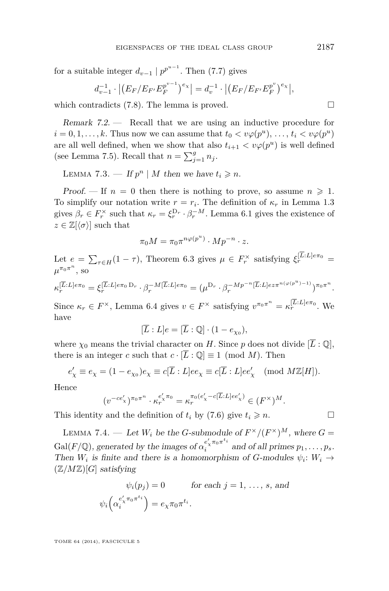<span id="page-23-0"></span>for a suitable integer  $d_{v-1} | p^{p^{u-1}}$ . Then [\(7.7\)](#page-22-0) gives

$$
d_{v-1}^{-1} \cdot | (E_F/E_{F'} E_F^{p^{v-1}})^{e_{\chi}} | = d_v^{-1} \cdot | (E_F/E_{F'} E_F^{p^{v}})^{e_{\chi}} |,
$$

which contradicts  $(7.8)$ . The lemma is proved.

Remark 7.2. — Recall that we are using an inductive procedure for  $i = 0, 1, \ldots, k$ . Thus now we can assume that  $t_0 < v\varphi(p^u), \ldots, t_i < v\varphi(p^u)$ are all well defined, when we show that also  $t_{i+1} < v\varphi(p^u)$  is well defined (see Lemma [7.5\)](#page-26-0). Recall that  $n = \sum_{j=1}^{g} n_j$ .

LEMMA 7.3. — If  $p^n | M$  then we have  $t_i \geq n$ .

Proof. — If  $n = 0$  then there is nothing to prove, so assume  $n \geq 1$ . To simplify our notation write  $r = r_i$ . The definition of  $\kappa_r$  in Lemma [1.3](#page-6-0) gives  $\beta_r \in F_r^{\times}$  such that  $\kappa_r = \xi_r^{\mathcal{D}_r} \cdot \beta_r^{-M}$ . Lemma [6.1](#page-15-0) gives the existence of  $z \in \mathbb{Z}[\langle \sigma \rangle]$  such that

$$
\pi_0 M = \pi_0 \pi^{n\varphi(p^u)} \cdot M p^{-n} \cdot z.
$$

Let  $e = \sum_{\tau \in H} (1 - \tau)$ , Theorem [6.3](#page-17-0) gives  $\mu \in F_r^{\times}$  satisfying  $\xi_r^{[L:L]e\pi_0} =$  $\mu^{\pi_0 \pi^n}$ , so

$$
\kappa_r^{[\overline{L}:L]e\pi_0} = \xi_r^{[\overline{L}:L]e\pi_0 D_r} \cdot \beta_r^{-M[\overline{L}:L]e\pi_0} = (\mu^{D_r} \cdot \beta_r^{-Mp^{-n}[\overline{L}:L]e z \pi^{n(\varphi(p^u)-1)}})^{\pi_0 \pi^n}.
$$

Since  $\kappa_r \in F^\times$ , Lemma [6.4](#page-20-0) gives  $v \in F^\times$  satisfying  $v^{\pi_0 \pi^n} = \kappa_r^{[L:L]e\pi_0}$ . We have

$$
[\overline{L}:L]e=[\overline{L}:\mathbb{Q}]\cdot (1-e_{\chi_0}),
$$

where  $\chi_0$  means the trivial character on *H*. Since *p* does not divide  $[\overline{L}:\mathbb{Q}],$ there is an integer *c* such that  $c \cdot [\overline{L} : \mathbb{Q}] \equiv 1 \pmod{M}$ . Then

$$
e'_{\chi} \equiv e_{\chi} = (1 - e_{\chi_0})e_{\chi} \equiv c[\overline{L} : L]ee_{\chi} \equiv c[\overline{L} : L]ee'_{\chi} \pmod{M\mathbb{Z}[H]}.
$$

Hence

$$
(v^{-ce_{\chi}^{\prime}})^{\pi_0 \pi^n} \cdot \kappa_r^{e_{\chi}^{\prime} \pi_0} = \kappa_r^{\pi_0(e_{\chi}^{\prime} - c[\overline{L}:L]ee_{\chi}^{\prime})} \in (F^{\times})^M.
$$

This identity and the definition of  $t_i$  by [\(7.6\)](#page-21-0) give  $t_i \geq n$ .

LEMMA 7.4. — Let  $W_i$  be the *G*-submodule of  $F^{\times}/(F^{\times})^M$ , where  $G =$  $Gal(F/\mathbb{Q})$ , generated by the images of  $\alpha_i^{e'_\chi \pi_0 \pi^{t_i}}$  $\sum_{i=1}^{n} a_i$  and of all primes  $p_1, \ldots, p_s$ . Then  $W_i$  is finite and there is a homomorphism of *G*-modules  $\psi_i: W_i \to$  $(\mathbb{Z}/M\mathbb{Z})[G]$  satisfying

$$
\psi_i(p_j) = 0 \qquad \text{for each } j = 1, \dots, s, \text{ and}
$$

$$
\psi_i\left(\alpha_i^{e'_\chi \pi_0 \pi^{t_i}}\right) = e_\chi \pi_0 \pi^{t_i}.
$$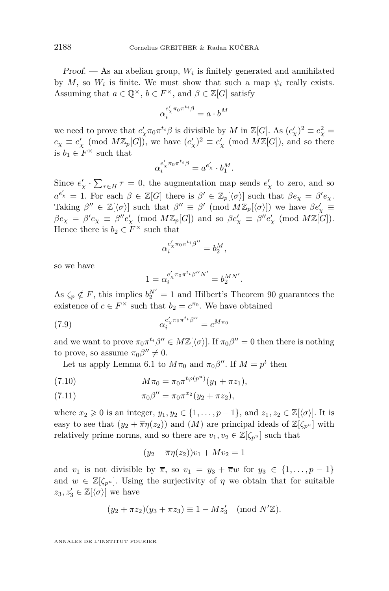<span id="page-24-0"></span>Proof.  $-$  As an abelian group,  $W_i$  is finitely generated and annihilated by  $M$ , so  $W_i$  is finite. We must show that such a map  $\psi_i$  really exists. Assuming that  $a \in \mathbb{Q}^{\times}$ ,  $b \in F^{\times}$ , and  $\beta \in \mathbb{Z}[G]$  satisfy

$$
\alpha_i^{e'_\chi \pi_0 \pi^{t_i} \beta} = a \cdot b^M
$$

we need to prove that  $e'_\chi \pi_0 \pi^{t_i} \beta$  is divisible by *M* in  $\mathbb{Z}[G]$ . As  $(e'_\chi)^2 \equiv e_\chi^2 =$  $e_\chi \equiv e'_\chi \pmod{M\mathbb{Z}_p[G]}$ , we have  $(e'_\chi)^2 \equiv e'_\chi \pmod{M\mathbb{Z}[G]}$ , and so there is  $b_1 \in F^\times$  such that

$$
\alpha_i^{e'_\chi \pi_0 \pi^{t_i} \beta} = a^{e'_\chi} \cdot b_1^M.
$$

Since  $e'_{\chi} \cdot \sum_{\tau \in H} \tau = 0$ , the augmentation map sends  $e'_{\chi}$  to zero, and so  $a^{e'}$  = 1. For each  $\beta \in \mathbb{Z}[G]$  there is  $\beta' \in \mathbb{Z}_p[\langle \sigma \rangle]$  such that  $\beta e_\chi = \beta' e_\chi$ . Taking  $\beta'' \in \mathbb{Z}[\langle \sigma \rangle]$  such that  $\beta'' \equiv \beta' \pmod{M\mathbb{Z}_p[\langle \sigma \rangle]}$  we have  $\beta e'_\chi \equiv$  $\beta e_\chi = \beta' e_\chi \equiv \beta'' e'_\chi \pmod{M\mathbb{Z}_p[G]}$  and so  $\beta e'_\chi \equiv \beta'' e'_\chi \pmod{M\mathbb{Z}[G]}$ . Hence there is  $b_2 \in F^\times$  such that

$$
\alpha_i^{e'_\chi \pi_0 \pi^{t_i} \beta''} = b_2^M,
$$

so we have

$$
1 = \alpha_i^{e'_\chi \pi_0 \pi^{t_i} \beta'' N'} = b_2^{MN'}.
$$

As  $\zeta_p \notin F$ , this implies  $b_2^{N'} = 1$  and Hilbert's Theorem 90 guarantees the existence of  $c \in F^{\times}$  such that  $b_2 = c^{\pi_0}$ . We have obtained

(7.9) 
$$
\alpha_i^{e'_\chi \pi_0 \pi^{t_i} \beta''} = c^{M \pi_0}
$$

and we want to prove  $\pi_0 \pi^{t_i} \beta'' \in M\mathbb{Z}[\langle \sigma \rangle]$ . If  $\pi_0 \beta'' = 0$  then there is nothing to prove, so assume  $\pi_0 \beta'' \neq 0$ .

Let us apply Lemma [6.1](#page-15-0) to  $M\pi_0$  and  $\pi_0\beta''$ . If  $M = p^t$  then

(7.10) 
$$
M\pi_0 = \pi_0 \pi^{t\varphi(p^u)}(y_1 + \pi z_1),
$$

(7.11) 
$$
\pi_0 \beta'' = \pi_0 \pi^{x_2} (y_2 + \pi z_2),
$$

where  $x_2 \geq 0$  is an integer,  $y_1, y_2 \in \{1, \ldots, p-1\}$ , and  $z_1, z_2 \in \mathbb{Z}[\langle \sigma \rangle]$ . It is easy to see that  $(y_2 + \overline{\pi}\eta(z_2))$  and  $(M)$  are principal ideals of  $\mathbb{Z}[\zeta_{p^u}]$  with relatively prime norms, and so there are  $v_1, v_2 \in \mathbb{Z}[\zeta_{p^u}]$  such that

$$
(y_2 + \overline{\pi}\eta(z_2))v_1 + Mv_2 = 1
$$

and  $v_1$  is not divisible by  $\overline{\pi}$ , so  $v_1 = y_3 + \overline{\pi}w$  for  $y_3 \in \{1, ..., p-1\}$ and  $w \in \mathbb{Z}[\zeta_{p^u}]$ . Using the surjectivity of  $\eta$  we obtain that for suitable  $z_3, z'_3 \in \mathbb{Z}[\langle \sigma \rangle]$  we have

$$
(y_2 + \pi z_2)(y_3 + \pi z_3) \equiv 1 - Mz'_3 \pmod{N'\mathbb{Z}}.
$$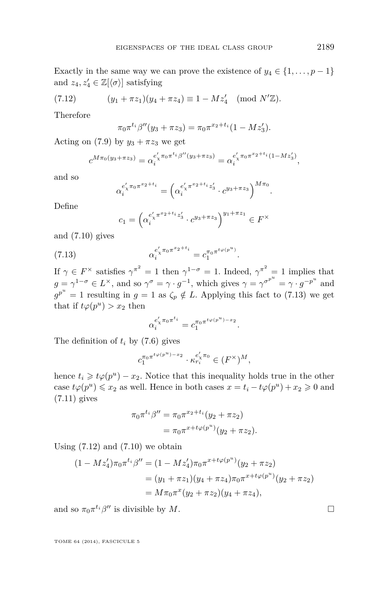<span id="page-25-0"></span>Exactly in the same way we can prove the existence of  $y_4 \in \{1, \ldots, p-1\}$ and  $z_4, z'_4 \in \mathbb{Z}[\langle \sigma \rangle]$  satisfying

(7.12) 
$$
(y_1 + \pi z_1)(y_4 + \pi z_4) \equiv 1 - Mz'_4 \pmod{N'\mathbb{Z}}.
$$

Therefore

$$
\pi_0 \pi^{t_i} \beta''(y_3 + \pi z_3) = \pi_0 \pi^{x_2 + t_i} (1 - M z_3').
$$

Acting on [\(7.9\)](#page-24-0) by  $y_3 + \pi z_3$  we get

$$
c^{M\pi_0(y_3+\pi z_3)}=\alpha_i^{e_\chi'\pi_0\pi^{t_i}\beta''(y_3+\pi z_3)}=\alpha_i^{e_\chi'\pi_0\pi^{x_2+t_i}(1-Mz_3')},
$$

and so

$$
\alpha_i^{e'_\chi \pi_0 \pi^{x_2 + t_i}} = \left( \alpha_i^{e'_\chi \pi^{x_2 + t_i} z'_3} \cdot c^{y_3 + \pi z_3} \right)^{M \pi_0}.
$$

Define

$$
c_1 = \left(\alpha_i^{e'_\chi \pi^{x_2 + t_i} z'_3} \cdot c^{y_3 + \pi z_3} \right)^{y_1 + \pi z_1} \in F^\times
$$

and [\(7.10\)](#page-24-0) gives

(7.13) 
$$
\alpha_i^{e'_\chi \pi_0 \pi^{x_2 + t_i}} = c_1^{\pi_0 \pi^{t_\varphi(p^u)}}.
$$

If  $\gamma \in F^\times$  satisfies  $\gamma^{\pi^2} = 1$  then  $\gamma^{1-\sigma} = 1$ . Indeed,  $\gamma^{\pi^2} = 1$  implies that  $g = \gamma^{1-\sigma} \in L^{\times}$ , and so  $\gamma^{\sigma} = \gamma \cdot g^{-1}$ , which gives  $\gamma = \gamma^{\sigma^{p^u}} = \gamma \cdot g^{-p^u}$  and  $g^{p^u} = 1$  resulting in  $g = 1$  as  $\zeta_p \notin L$ . Applying this fact to (7.13) we get that if  $t\varphi(p^u) > x_2$  then

$$
\alpha_i^{e'_\chi \pi_0 \pi^{t_i}} = c_1^{\pi_0 \pi^{t_\varphi(p^u) - x_2}}.
$$

The definition of  $t_i$  by [\(7.6\)](#page-21-0) gives

$$
c_1^{\pi_0 \pi^{t_{\varphi(p^u)}-x_2}} \cdot \kappa_{r_i}^{e'_\chi \pi_0} \in (F^\times)^M,
$$

hence  $t_i \geq t\varphi(p^u) - x_2$ . Notice that this inequality holds true in the other case  $t\varphi(p^u) \leq x_2$  as well. Hence in both cases  $x = t_i - t\varphi(p^u) + x_2 \geq 0$  and [\(7.11\)](#page-24-0) gives

$$
\pi_0 \pi^{t_i} \beta'' = \pi_0 \pi^{x_2 + t_i} (y_2 + \pi z_2)
$$
  
= 
$$
\pi_0 \pi^{x + t \varphi(p^u)} (y_2 + \pi z_2).
$$

Using  $(7.12)$  and  $(7.10)$  we obtain

$$
(1 - Mz_4')\pi_0\pi^{t_i}\beta'' = (1 - Mz_4')\pi_0\pi^{x + t\varphi(p^u)}(y_2 + \pi z_2)
$$
  
=  $(y_1 + \pi z_1)(y_4 + \pi z_4)\pi_0\pi^{x + t\varphi(p^u)}(y_2 + \pi z_2)$   
=  $M\pi_0\pi^x(y_2 + \pi z_2)(y_4 + \pi z_4),$ 

and so  $\pi_0 \pi^{t_i} \beta''$  is divisible by *M*.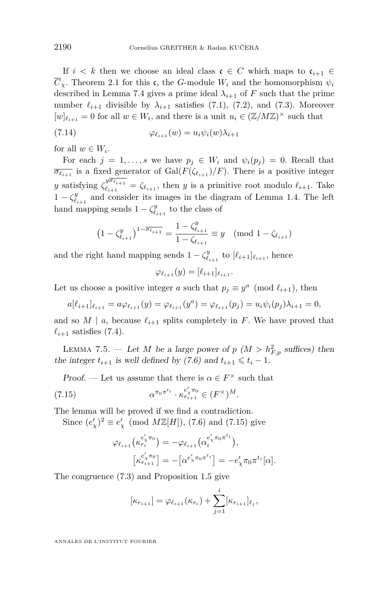<span id="page-26-0"></span>If  $i < k$  then we choose an ideal class  $c \in C$  which maps to  $c_{i+1} \in$  $\overline{C}_\chi$ . Theorem [2.1](#page-8-0) for this c, the *G*-module  $W_i$  and the homomorphism  $\psi_i$ described in Lemma [7.4](#page-23-0) gives a prime ideal  $\lambda_{i+1}$  of *F* such that the prime number  $\ell_{i+1}$  divisible by  $\lambda_{i+1}$  satisfies [\(7.1\)](#page-21-0), [\(7.2\)](#page-21-0), and [\(7.3\)](#page-21-0). Moreover  $[w]_{\ell_{i+1}} = 0$  for all  $w \in W_i$ , and there is a unit  $u_i \in (\mathbb{Z}/M\mathbb{Z})^{\times}$  such that

(7.14) 
$$
\varphi_{\ell_{i+1}}(w) = u_i \psi_i(w) \lambda_{i+1}
$$

for all  $w \in W_i$ .

For each  $j = 1, \ldots, s$  we have  $p_j \in W_i$  and  $\psi_i(p_j) = 0$ . Recall that  $\overline{\sigma_{\ell_{i+1}}}$  is a fixed generator of Gal( $F(\zeta_{\ell_{i+1}})/F$ ). There is a positive integer *y* satisfying  $\zeta_{\ell_{i+1}}^{y\overline{\sigma_{\ell_{i+1}}}}$  $\ell_{i+1} = \zeta_{\ell_{i+1}}$ , then *y* is a primitive root modulo  $\ell_{i+1}$ . Take  $1 - \zeta_{\ell_{i+1}}^y$  and consider its images in the diagram of Lemma [1.4.](#page-6-0) The left hand mapping sends  $1 - \zeta_{\ell_{i+1}}^y$  to the class of

$$
\left(1 - \zeta_{\ell_{i+1}}^y\right)^{1 - \overline{\sigma_{\ell_{i+1}}}} = \frac{1 - \zeta_{\ell_{i+1}}^y}{1 - \zeta_{\ell_{i+1}}} \equiv y \pmod{1 - \zeta_{\ell_{i+1}}}
$$

and the right hand mapping sends  $1 - \zeta_{\ell_{i+1}}^y$  to  $[\ell_{i+1}]_{\ell_{i+1}}$ , hence

$$
\varphi_{\ell_{i+1}}(y)=[\ell_{i+1}]_{\ell_{i+1}}.
$$

Let us choose a positive integer *a* such that  $p_j \equiv y^a \pmod{\ell_{i+1}}$ , then

$$
a[\ell_{i+1}]\ell_{i+1} = a\varphi_{\ell_{i+1}}(y) = \varphi_{\ell_{i+1}}(y^a) = \varphi_{\ell_{i+1}}(p_j) = u_i\psi_i(p_j)\lambda_{i+1} = 0,
$$

and so  $M \mid a$ , because  $\ell_{i+1}$  splits completely in *F*. We have proved that  $\ell_{i+1}$  satisfies [\(7.4\)](#page-21-0).

LEMMA 7.5. — Let *M* be a large power of  $p$  ( $M > h_{F,p}^2$  suffices) then the integer  $t_{i+1}$  is well defined by [\(7.6\)](#page-21-0) and  $t_{i+1} \leq t_i - 1$ .

*Proof.* — Let us assume that there is  $\alpha \in F^{\times}$  such that

(7.15) 
$$
\alpha^{\pi_0 \pi^{t_i}} \cdot \kappa_{r_{i+1}}^{e'_\times \pi_0} \in (F^\times)^M.
$$

The lemma will be proved if we find a contradiction.

Since  $(e'_{\chi})^2 \equiv e'_{\chi} \pmod{M\mathbb{Z}[H]}$ , [\(7.6\)](#page-21-0) and (7.15) give

$$
\varphi_{\ell_{i+1}}(\kappa_{r_i}^{e'_\chi\pi_0}) = -\varphi_{\ell_{i+1}}(\alpha_i^{e'_\chi\pi_0\pi^{t_i}}),
$$

$$
[\kappa_{r_{i+1}}^{e'_\chi\pi_0}] = -[\alpha^{e'_\chi\pi_0\pi^{t_i}}] = -e'_\chi\pi_0\pi^{t_i}[\alpha].
$$

The congruence [\(7.3\)](#page-21-0) and Proposition [1.5](#page-6-0) give

$$
[\kappa_{r_{i+1}}] = \varphi_{\ell_{i+1}}(\kappa_{r_i}) + \sum_{j=1}^{i} [\kappa_{r_{i+1}}]_{\ell_j},
$$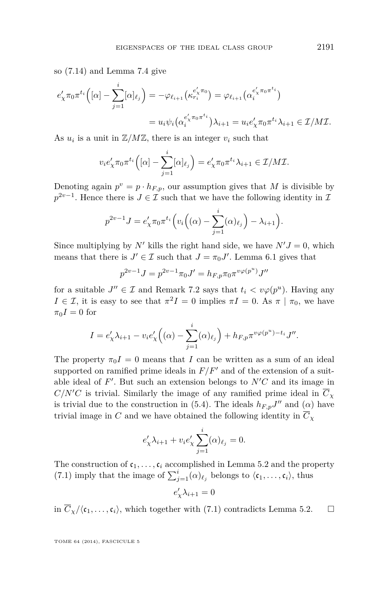so [\(7.14\)](#page-26-0) and Lemma [7.4](#page-23-0) give

$$
e'_{\chi}\pi_0\pi^{t_i}\left([\alpha]-\sum_{j=1}^i[\alpha]_{\ell_j}\right) = -\varphi_{\ell_{i+1}}\left(\kappa_{r_i}^{e'_{\chi}\pi_0}\right) = \varphi_{\ell_{i+1}}\left(\alpha_i^{e'_{\chi}\pi_0\pi^{t_i}}\right)
$$

$$
= u_i\psi_i\left(\alpha_i^{e'_{\chi}\pi_0\pi^{t_i}}\right)\lambda_{i+1} = u_i e'_{\chi}\pi_0\pi^{t_i}\lambda_{i+1} \in \mathcal{I}/M\mathcal{I}.
$$

As  $u_i$  is a unit in  $\mathbb{Z}/M\mathbb{Z}$ , there is an integer  $v_i$  such that

$$
v_i e'_\chi \pi_0 \pi^{t_i} \left( [\alpha] - \sum_{j=1}^i [\alpha]_{\ell_j} \right) = e'_\chi \pi_0 \pi^{t_i} \lambda_{i+1} \in \mathcal{I}/M\mathcal{I}.
$$

Denoting again  $p^v = p \cdot h_{F,p}$ , our assumption gives that *M* is divisible by  $p^{2v-1}$ . Hence there is  $J \in \mathcal{I}$  such that we have the following identity in  $\mathcal{I}$ 

$$
p^{2v-1}J = e'_\chi \pi_0 \pi^{t_i} \left( v_i \left( (\alpha) - \sum_{j=1}^i (\alpha)_{\ell_j} \right) - \lambda_{i+1} \right).
$$

Since multiplying by *N*<sup> $\prime$ </sup> kills the right hand side, we have  $N'J = 0$ , which means that there is  $J' \in \mathcal{I}$  such that  $J = \pi_0 J'$ . Lemma [6.1](#page-15-0) gives that

$$
p^{2v-1}J = p^{2v-1}\pi_0 J' = h_{F,p}\pi_0\pi^{v\varphi(p^u)}J''
$$

for a suitable  $J'' \in \mathcal{I}$  and Remark [7.2](#page-23-0) says that  $t_i < v\varphi(p^u)$ . Having any *I*  $\in \mathcal{I}$ , it is easy to see that  $\pi^2 I = 0$  implies  $\pi I = 0$ . As  $\pi | \pi_0$ , we have  $\pi_0 I = 0$  for

$$
I = e'_{\chi} \lambda_{i+1} - v_i e'_{\chi} \left( (\alpha) - \sum_{j=1}^i (\alpha)_{\ell_j} \right) + h_{F, p} \pi^{v \varphi(p^u) - t_i} J''.
$$

The property  $\pi_0 I = 0$  means that *I* can be written as a sum of an ideal supported on ramified prime ideals in  $F/F<sup>0</sup>$  and of the extension of a suitable ideal of  $F'$ . But such an extension belongs to  $N'C$  and its image in  $C/N'C$  is trivial. Similarly the image of any ramified prime ideal in  $\overline{C}_\chi$ is trivial due to the construction in [\(5.4\)](#page-15-0). The ideals  $h_{F,p}J''$  and ( $\alpha$ ) have trivial image in *C* and we have obtained the following identity in  $\overline{C}_Y$ 

$$
e'_{\chi}\lambda_{i+1} + v_i e'_{\chi} \sum_{j=1}^i (\alpha)_{\ell_j} = 0.
$$

The construction of  $c_1, \ldots, c_i$  accomplished in Lemma [5.2](#page-15-0) and the property [\(7.1\)](#page-21-0) imply that the image of  $\sum_{j=1}^{i} (\alpha)_{\ell_j}$  belongs to  $\langle c_1, \ldots, c_i \rangle$ , thus

$$
e'_{\chi}\lambda_{i+1}=0
$$

in  $\overline{C}_{\chi}/\langle \mathfrak{c}_1, \ldots, \mathfrak{c}_i \rangle$ , which together with [\(7.1\)](#page-21-0) contradicts Lemma [5.2.](#page-15-0)  $\Box$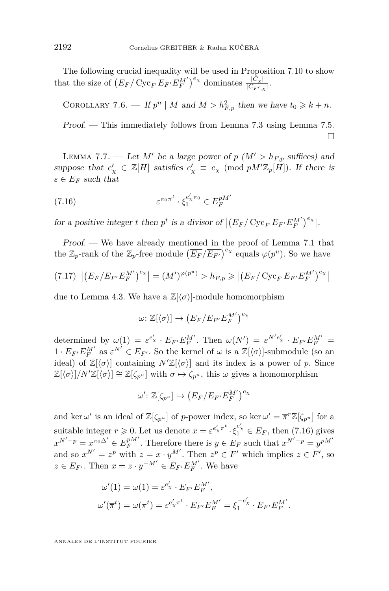<span id="page-28-0"></span>The following crucial inequality will be used in Proposition [7.10](#page-32-0) to show that the size of  $(E_F / \text{Cyc}_F E_{F'} E_F^{M'})^{e_\chi}$  dominates  $\frac{|C_\chi|}{|C_{F',\chi}|}$ .

COROLLARY 7.6. — If  $p^n \mid M$  and  $M > h_{F,p}^2$  then we have  $t_0 \geq k + n$ .

Proof. — This immediately follows from Lemma [7.3](#page-23-0) using Lemma [7.5.](#page-26-0)  $\Box$ 

LEMMA 7.7. — Let M' be a large power of  $p$  ( $M' > h_{F,p}$  suffices) and suppose that  $e'_\chi \in \mathbb{Z}[H]$  satisfies  $e'_\chi \equiv e_\chi \pmod{pM'\mathbb{Z}_p[H]}$ . If there is  $\varepsilon \in E_F$  such that

(7.16) 
$$
\varepsilon^{\pi_0 \pi^t} \cdot \xi_1^{e'_\chi \pi_0} \in E_F^{pM'}
$$

for a positive integer *t* then  $p^t$  is a divisor of  $|(E_F/\text{Cyc}_F E_{F'} E_F^{\text{M'}})^{e_\chi}|$ .

Proof. — We have already mentioned in the proof of Lemma [7.1](#page-22-0) that the  $\mathbb{Z}_p$ -rank of the  $\mathbb{Z}_p$ -free module  $(\overline{E_F}/\overline{E_{F'}})^{e_\chi}$  equals  $\varphi(p^u)$ . So we have

$$
(7.17) \left| \left( E_F / E_{F'} E_F^{M'} \right)^{e_\chi} \right| = (M')^{\varphi(p^u)} > h_{F,p} \geqslant \left| \left( E_F / \operatorname{Cyc}_F E_{F'} E_F^{M'} \right)^{e_\chi} \right|
$$

due to Lemma [4.3.](#page-11-0) We have a  $\mathbb{Z}\left\{\langle \sigma \rangle\right\}$ -module homomorphism

$$
\omega\colon \mathbb{Z}[\langle \sigma \rangle] \to \big(E_F/E_{F'}E_F^{M'}\big)^{e_\chi}
$$

determined by  $\omega(1) = \varepsilon^{e'_X} \cdot E_{F'} E_F^{M'}$ . Then  $\omega(N') = \varepsilon^{N'e'_X} \cdot E_{F'} E_F^{M'}$  $1 \cdot E_{F'} E_F^M$ <sup>*a*</sup> as  $\varepsilon^{N'} \in E_{F'}$ . So the kernel of  $\omega$  is a  $\mathbb{Z}[\langle \sigma \rangle]$ -submodule (so an ideal) of  $\mathbb{Z}[\langle \sigma \rangle]$  containing  $N'\mathbb{Z}[\langle \sigma \rangle]$  and its index is a power of *p*. Since  $\mathbb{Z}[\langle \sigma \rangle]/N'\mathbb{Z}[\langle \sigma \rangle] \cong \mathbb{Z}[\zeta_{p^u}]$  with  $\sigma \mapsto \zeta_{p^u}$ , this  $\omega$  gives a homomorphism

$$
\omega'\colon \mathbb{Z}[\zeta_{p^u}]\to \big(E_F/E_{F'}E_F^{M'}\big)^{e_\chi}
$$

and ker  $\omega'$  is an ideal of  $\mathbb{Z}[\zeta_{p^u}]$  of *p*-power index, so ker  $\omega' = \overline{\pi}^r \mathbb{Z}[\zeta_{p^u}]$  for a suitable integer  $r \ge 0$ . Let us denote  $x = \varepsilon^{e'_x \pi^t} \cdot \xi_1^{e'_x} \in E_F$ , then (7.16) gives  $x^{N'-p} = x^{\pi_0 \Delta'} \in E_F^{pM'}$ . Therefore there is  $y \in E_F$  such that  $x^{N'-p} = y^{pM'}$ and so  $x^{N'} = z^p$  with  $z = x \cdot y^{M'}$ . Then  $z^p \in F'$  which implies  $z \in F'$ , so  $z \in E_{F'}$ . Then  $x = z \cdot y^{-M'} \in E_{F'}E_F^{M'}$ . We have

$$
\omega'(1) = \omega(1) = \varepsilon^{e'_X} \cdot E_{F'} E_F^{M'},
$$
  

$$
\omega'(\overline{\pi}^t) = \omega(\pi^t) = \varepsilon^{e'_X \pi^t} \cdot E_{F'} E_F^{M'} = \xi_1^{-e'_X} \cdot E_{F'} E_F^{M'}.
$$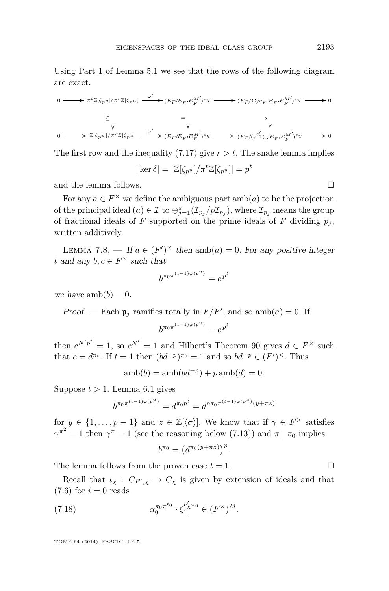<span id="page-29-0"></span>Using Part 1 of Lemma [5.1](#page-12-0) we see that the rows of the following diagram are exact.

$$
\begin{array}{ccc} 0 \longrightarrow & \overline{\pi}^t \mathbb{Z}[\zeta_{p^u}] / \overline{\pi}^r \mathbb{Z}[\zeta_{p^u}] & \xrightarrow{\omega'} \mathbb{C}E_F/E_{F'} E_{F}^{M'})^e \chi & \longrightarrow & (E_F/\mathrm{Cyc}_F \ E_{F'} E_{F}^{M'})^e \chi & \longrightarrow & 0 \\ \\ & \subseteq & \Bigg\downarrow & & \Bigg\downarrow & & \Bigg\downarrow & & \Bigg\downarrow & & \Bigg\downarrow & & \Bigg\downarrow & & \Bigg\downarrow & & \Bigg\downarrow & & \Bigg\downarrow & & \Bigg\downarrow & & \Bigg\downarrow & & \Bigg\downarrow & & \Bigg\downarrow & & \Bigg\downarrow & & \Bigg\downarrow & & \Bigg\downarrow & & \Bigg\downarrow & & \Bigg\downarrow & & \Bigg\downarrow & & \Bigg\downarrow & & \Bigg\downarrow & & \Bigg\downarrow & & \Bigg\downarrow & & \Bigg\downarrow & & \Bigg\downarrow & & \Bigg\downarrow & & \Bigg\downarrow & & \Bigg\downarrow & & \Bigg\downarrow & & \Bigg\downarrow & & \Bigg\downarrow & & \Bigg\downarrow & & \Bigg\downarrow & & \Bigg\downarrow & & \Bigg\downarrow & & \Bigg\downarrow & & \Bigg\downarrow & & \Bigg\downarrow & & \Bigg\downarrow & & \Bigg\downarrow & & \Bigg\downarrow & & \Bigg\downarrow & & \Bigg\downarrow & & \Bigg\downarrow & & \Bigg\downarrow & & \Bigg\downarrow & & \Bigg\downarrow & & \Bigg\downarrow & & \Bigg\downarrow & & \Bigg\downarrow & & \Bigg\downarrow & & \Bigg\downarrow & & \Bigg\downarrow & & \Bigg\downarrow & & \Bigg\downarrow & & \Bigg\downarrow & & \Bigg\downarrow & & \Bigg\downarrow & & \Bigg\downarrow & & \Bigg\downarrow & & \Bigg\downarrow & & \Bigg\downarrow & & \Bigg\downarrow & & \Bigg\downarrow & & \Bigg\downarrow & & \Bigg\downarrow & & \Bigg\downarrow & & \Bigg\downarrow & & \Bigg\downarrow & & \Bigg\downarrow & & \Bigg\downarrow & & \Bigg\downarrow & & \Bigg\downarrow & & \Bigg\downarrow & & \Bigg\downarrow & & \Bigg\downarrow & & \Bigg\downarrow & & \Bigg\downarrow & & \Bigg\downarrow &
$$

The first row and the inequality  $(7.17)$  give  $r > t$ . The snake lemma implies

$$
|\ker \delta| = |\mathbb{Z}[\zeta_{p^u}]/\overline{\pi}^t \mathbb{Z}[\zeta_{p^u}]| = p^t
$$

and the lemma follows.

For any  $a \in F^{\times}$  we define the ambiguous part  $amb(a)$  to be the projection of the principal ideal  $(a) \in \mathcal{I}$  to  $\bigoplus_{j=1}^{s} (\mathcal{I}_{p_j}/p\mathcal{I}_{p_j})$ , where  $\mathcal{I}_{p_j}$  means the group of fractional ideals of *F* supported on the prime ideals of *F* dividing  $p_j$ , written additively.

LEMMA 7.8. — If  $a \in (F')^{\times}$  then  $amb(a) = 0$ . For any positive integer *t* and any  $b, c \in F^{\times}$  such that

$$
b^{\pi_0\pi^{(t-1)\varphi(p^u)}}=c^{\,p^t}
$$

we have  $amb(b) = 0$ .

Proof. — Each  $\mathfrak{p}_j$  ramifies totally in  $F/F'$ , and so amb(*a*) = 0. If

$$
b^{\pi_0\pi^{(t-1)\varphi(p^u)}} = c^{p^t}
$$

then  $c^{N'p^t} = 1$ , so  $c^{N'} = 1$  and Hilbert's Theorem 90 gives  $d \in F^\times$  such that  $c = d^{\pi_0}$ . If  $t = 1$  then  $(bd^{-p})^{\pi_0} = 1$  and so  $bd^{-p} \in (F')^{\times}$ . Thus

$$
amb(b) = amb(bd^{-p}) + pamb(d) = 0.
$$

Suppose  $t > 1$ . Lemma [6.1](#page-15-0) gives

$$
b^{\pi_0 \pi^{(t-1)\varphi(p^u)}} = d^{\pi_0 p^t} = d^{p \pi_0 \pi^{(t-1)\varphi(p^u)}(y+\pi z)}
$$

for  $y \in \{1, \ldots, p-1\}$  and  $z \in \mathbb{Z}[\langle \sigma \rangle]$ . We know that if  $\gamma \in F^\times$  satisfies  $\gamma^{\pi^2} = 1$  then  $\gamma^{\pi} = 1$  (see the reasoning below [\(7.13\)](#page-25-0)) and  $\pi | \pi_0$  implies

$$
b^{\pi_0} = \left(d^{\pi_0(y+\pi z)}\right)^p.
$$

The lemma follows from the proven case  $t = 1$ .

Recall that  $\iota_{\chi}: C_{F',\chi} \to C_{\chi}$  is given by extension of ideals and that  $(7.6)$  for  $i=0$  reads

(7.18) 
$$
\alpha_0^{\pi_0 \pi^{t_0}} \cdot \xi_1^{e'_\chi \pi_0} \in (F^\times)^M.
$$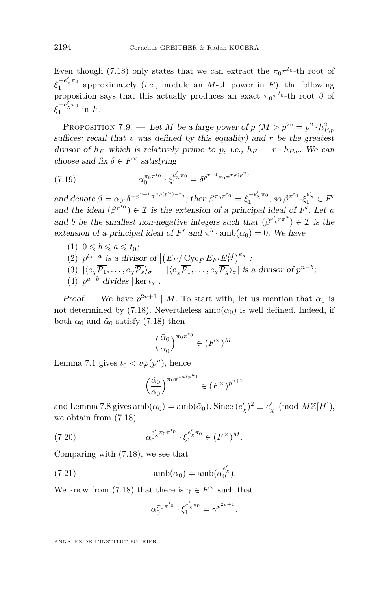<span id="page-30-0"></span>Even though [\(7.18\)](#page-29-0) only states that we can extract the  $\pi_0 \pi^{t_0}$ -th root of  $\xi_1^{-e'_\chi\pi_0}$  approximately (i.e., modulo an *M*-th power in *F*), the following proposition says that this actually produces an exact  $\pi_0 \pi^{t_0}$ -th root  $\beta$  of  $\xi_1^{-e'_\chi\pi_0}$  in *F*.

PROPOSITION 7.9. — Let *M* be a large power of  $p$   $(M > p^{2v} = p^2 \cdot h_{F,p}^2$ suffices; recall that  $v$  was defined by this equality) and  $r$  be the greatest divisor of  $h_F$  which is relatively prime to p, i.e.,  $h_F = r \cdot h_{F,p}$ . We can choose and fix  $\delta \in F^{\times}$  satisfying

(7.19) 
$$
\alpha_0^{\pi_0 \pi^{t_0}} \cdot \xi_1^{e'_\chi \pi_0} = \delta^{p^{v+1} \pi_0 \pi^{v \varphi(p^u)}}
$$

and denote  $\beta = \alpha_0 \cdot \delta^{-p^{v+1}\pi^{v\varphi(p^u)-t_0}}$ ; then  $\beta^{\pi_0 \pi^{t_0}} = \xi_1^{-e'_\chi \pi_0}$ , so  $\beta^{\pi^{t_0}} \cdot \xi_1^{e'_\chi} \in F'$ and the ideal  $(\beta^{\pi^{t_0}}) \in \mathcal{I}$  is the extension of a principal ideal of *F'*. Let *a* and *b* be the smallest non-negative integers such that  $(\beta^{e'_\chi r \pi^a}) \in \mathcal{I}$  is the extension of a principal ideal of  $F'$  and  $\pi^b \cdot \text{amb}(\alpha_0) = 0$ . We have

- $(1)$   $0 \leqslant b \leqslant a \leqslant t_0;$
- (2)  $p^{t_0 a}$  is a divisor of  $|(E_F / \text{Cyc}_F E_{F'} E_F^M)^{e_\chi}|;$  $\frac{F_F}{F}$   $\frac{C_y}{F}$   $\frac{F_F}{F}$   $\frac{F_F}{F}$
- $\langle (3) | \langle e_\chi \overline{P_1}, \ldots, e_\chi \overline{P_s} \rangle_\sigma | = |\langle e_\chi \overline{P_1}, \ldots, e_\chi \overline{P_g} \rangle_\sigma|$  is a divisor of  $p^{n-b}$ ;
- (4)  $p^{a-b}$  divides | ker  $\iota_{\chi}$ |.

*Proof.* — We have  $p^{2v+1} \mid M$ . To start with, let us mention that  $\alpha_0$  is not determined by [\(7.18\)](#page-29-0). Nevertheless  $amb(\alpha_0)$  is well defined. Indeed, if both  $\alpha_0$  and  $\tilde{\alpha}_0$  satisfy [\(7.18\)](#page-29-0) then

$$
\left(\frac{\tilde{\alpha}_0}{\alpha_0}\right)^{\pi_0 \pi^{t_0}} \in (F^\times)^M.
$$

Lemma [7.1](#page-22-0) gives  $t_0 < v\varphi(p^u)$ , hence

$$
\Big(\frac{\tilde{\alpha}_0}{\alpha_0}\Big)^{\pi_0\pi^{v\varphi(p^u)}}\in (F^\times)^{p^{v+1}}
$$

and Lemma [7.8](#page-29-0) gives  $\text{amb}(\alpha_0) = \text{amb}(\tilde{\alpha}_0)$ . Since  $(e'_\chi)^2 \equiv e'_\chi \pmod{M\mathbb{Z}[H]},$ we obtain from [\(7.18\)](#page-29-0)

(7.20) 
$$
\alpha_0^{e'_\chi \pi_0 \pi^{t_0}} \cdot \xi_1^{e'_\chi \pi_0} \in (F^\times)^M.
$$

Comparing with [\(7.18\)](#page-29-0), we see that

(7.21) 
$$
\mathrm{amb}(\alpha_0) = \mathrm{amb}(\alpha_0^{e'_\chi}).
$$

We know from [\(7.18\)](#page-29-0) that there is  $\gamma \in F^{\times}$  such that

$$
\alpha_0^{\pi_0 \pi^{t_0}} \cdot \xi_1^{e'_\chi \pi_0} = \gamma^{p^{2v+1}}.
$$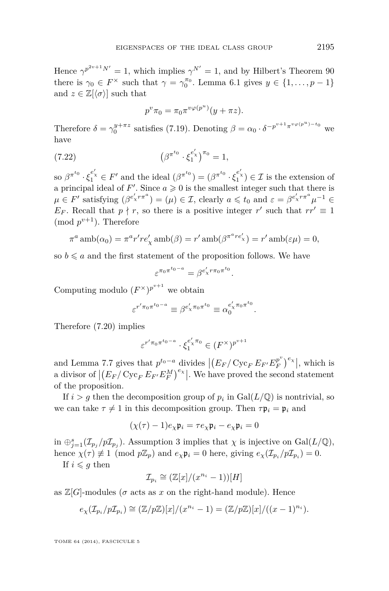<span id="page-31-0"></span>Hence  $\gamma^{p^{2v+1}N'} = 1$ , which implies  $\gamma^{N'} = 1$ , and by Hilbert's Theorem 90 there is  $\gamma_0 \in F^\times$  such that  $\gamma = \gamma_0^{\pi_0}$ . Lemma [6.1](#page-15-0) gives  $y \in \{1, ..., p-1\}$ and  $z \in \mathbb{Z}[\langle \sigma \rangle]$  such that

$$
p^v \pi_0 = \pi_0 \pi^{v\varphi(p^u)}(y + \pi z).
$$

Therefore  $\delta = \gamma_0^{y+\pi z}$  satisfies [\(7.19\)](#page-30-0). Denoting  $\beta = \alpha_0 \cdot \delta^{-p^{v+1}\pi^{v\varphi(p^u)-t_0}}$  we have

(7.22) 
$$
\left(\beta^{\pi^{t_0}} \cdot \xi_1^{e'_\chi}\right)^{\pi_0} = 1,
$$

so  $\beta^{\pi^{t_0}} \cdot \xi_1^{e'_\chi} \in F'$  and the ideal  $(\beta^{\pi^{t_0}}) = (\beta^{\pi^{t_0}} \cdot \xi_1^{e'_\chi}) \in \mathcal{I}$  is the extension of a principal ideal of  $F'$ . Since  $a \geq 0$  is the smallest integer such that there is  $\mu \in F'$  satisfying  $(\beta^{e'_\chi r \pi^a}) = (\mu) \in \mathcal{I}$ , clearly  $a \leq t_0$  and  $\varepsilon = \beta^{e'_\chi r \pi^a} \mu^{-1} \in$ *E<sub>F</sub>*. Recall that  $p \nmid r$ , so there is a positive integer  $r'$  such that  $rr' \equiv 1$  $\pmod{p^{v+1}}$ . Therefore

$$
\pi^a \operatorname{amb}(\alpha_0) = \pi^a r' r e'_\chi \operatorname{amb}(\beta) = r' \operatorname{amb}(\beta^{\pi^a r e'_\chi}) = r' \operatorname{amb}(\varepsilon \mu) = 0,
$$

so  $b \leq a$  and the first statement of the proposition follows. We have

$$
\varepsilon^{\pi_0\pi^{t_0-a}}=\beta^{e_\chi^\prime r\pi_0\pi^{t_0}}.
$$

Computing modulo  $(F^{\times})^{p^{v+1}}$  we obtain

$$
\varepsilon^{r'\pi_0\pi^{t_0-a}} \equiv \beta^{e'_\chi\pi_0\pi^{t_0}} \equiv \alpha_0^{e'_\chi\pi_0\pi^{t_0}}.
$$

Therefore [\(7.20\)](#page-30-0) implies

$$
\varepsilon^{r'\pi_0\pi^{t_0-a}}\cdot\xi_1^{e_\chi'\pi_0}\in (F^\times)^{p^{v+1}}
$$

and Lemma [7.7](#page-28-0) gives that  $p^{t_0-a}$  divides  $\left| \left( E_F / \operatorname{Cyc}_F E_{F'} E_F^{p^v} \right) \right|$  $\binom{p^v}{F}^e$ , which is a divisor of  $|(E_F/\operatorname{Cyc}_FE_{F'}E_F^M)^{e_\chi}|$ . We have proved the second statement of the proposition.

If  $i > g$  then the decomposition group of  $p_i$  in  $Gal(L/\mathbb{Q})$  is nontrivial, so we can take  $\tau \neq 1$  in this decomposition group. Then  $\tau \mathfrak{p}_i = \mathfrak{p}_i$  and

$$
(\chi(\tau) - 1)e_{\chi}\mathfrak{p}_i = \tau e_{\chi}\mathfrak{p}_i - e_{\chi}\mathfrak{p}_i = 0
$$

in  $\bigoplus_{j=1}^s (\mathcal{I}_{p_j}/p\mathcal{I}_{p_j})$ . Assumption [3](#page-12-0) implies that  $\chi$  is injective on Gal( $L/\mathbb{Q}$ ), hence  $\chi(\tau) \neq 1 \pmod{p\mathbb{Z}_p}$  and  $e_\chi \mathfrak{p}_i = 0$  here, giving  $e_\chi(\mathcal{I}_{p_i}/p\mathcal{I}_{p_i}) = 0$ .

If  $i \leq g$  then

$$
\mathcal{I}_{p_i} \cong (\mathbb{Z}[x]/(x^{n_i}-1))[H]
$$

as  $\mathbb{Z}[G]$ -modules ( $\sigma$  acts as  $x$  on the right-hand module). Hence

$$
e_{\chi}(\mathcal{I}_{p_i}/p\mathcal{I}_{p_i}) \cong (\mathbb{Z}/p\mathbb{Z})[x]/(x^{n_i}-1) = (\mathbb{Z}/p\mathbb{Z})[x]/((x-1)^{n_i}).
$$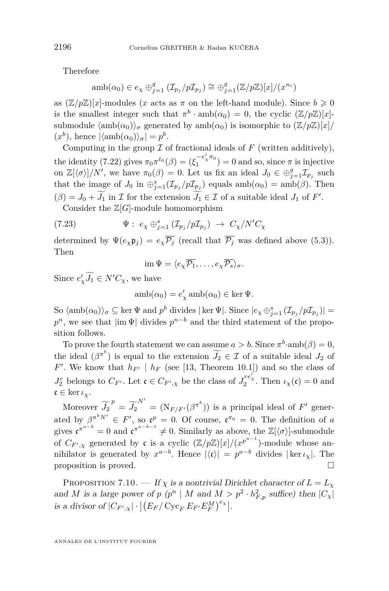<span id="page-32-0"></span>Therefore

$$
amb(\alpha_0) \in e_{\chi} \oplus_{j=1}^g (\mathcal{I}_{p_j}/p\mathcal{I}_{p_j}) \cong \oplus_{j=1}^g (\mathbb{Z}/p\mathbb{Z})[x]/(x^{n_i})
$$

as  $(\mathbb{Z}/p\mathbb{Z})[x]$ -modules (*x* acts as  $\pi$  on the left-hand module). Since  $b \ge 0$ is the smallest integer such that  $\pi^b \cdot \text{amb}(\alpha_0) = 0$ , the cyclic  $(\mathbb{Z}/p\mathbb{Z})[x]$ submodule  $\langle \text{amb}(\alpha_0) \rangle_{\sigma}$  generated by amb $(\alpha_0)$  is isomorphic to  $(\mathbb{Z}/p\mathbb{Z})[x]/p$  $(x^{b})$ , hence  $|\langle \text{amb}(\alpha_0)\rangle_{\sigma}| = p^{b}$ .

Computing in the group  $\mathcal I$  of fractional ideals of  $F$  (written additively), the identity [\(7.22\)](#page-31-0) gives  $\pi_0 \pi^{t_0}(\beta) = (\xi_1^{-e'_\chi \pi_0}) = 0$  and so, since  $\pi$  is injective on  $\mathbb{Z}\left[\langle \sigma \rangle\right]/N'$ , we have  $\pi_0(\beta) = 0$ . Let us fix an ideal  $J_0 \in \bigoplus_{j=1}^g \mathcal{I}_{p_j}$  such that the image of *J*<sub>0</sub> in  $\bigoplus_{j=1}^{s} (\mathcal{I}_{p_j}/p\mathcal{I}_{p_j})$  equals amb $(\alpha_0) = \text{amb}(\beta)$ . Then  $(\beta) = J_0 + J_1$  in *I* for the extension  $J_1 \in I$  of a suitable ideal  $J_1$  of *F'*.

Consider the  $\mathbb{Z}[G]$ -module homomorphism

(7.23) 
$$
\Psi: e_{\chi} \oplus_{j=1}^{s} (\mathcal{I}_{p_{j}}/p\mathcal{I}_{p_{j}}) \rightarrow C_{\chi}/N'C_{\chi}
$$

determined by  $\Psi(e_{\chi}\mathfrak{p}_{j}) = e_{\chi}\overline{\mathcal{P}_{j}}$  (recall that  $\overline{\mathcal{P}_{j}}$  was defined above [\(5.3\)](#page-14-0)). Then

$$
\operatorname{im} \Psi = \langle e_{\chi} \overline{\mathcal{P}_1}, \dots, e_{\chi} \overline{\mathcal{P}_s} \rangle_{\sigma}.
$$

Since  $e'_\chi \widetilde{J}_1 \in N'C_\chi$ , we have

$$
amb(\alpha_0) = e'_\chi amb(\alpha_0) \in \ker \Psi.
$$

 $\int$ So  $\langle \text{amb}(\alpha_0) \rangle_{\sigma} \subseteq \ker \Psi$  and  $p^b$  divides  $|\ker \Psi|$ . Since  $|e_{\chi} \bigoplus_{j=1}^{s} (\mathcal{I}_{p_j}/p\mathcal{I}_{p_j})|$  $p^n$ , we see that  $|\text{im }\Psi|$  divides  $p^{n-b}$  and the third statement of the proposition follows.

To prove the fourth statement we can assume  $a > b$ . Since  $\pi^b$  amb $(\beta) = 0$ , the ideal  $(\beta^{\pi^b})$  is equal to the extension  $\widetilde{J}_2 \in \mathcal{I}$  of a suitable ideal  $J_2$  of  $F'$ . We know that  $h_{F'}$  |  $h_F$  (see [\[13,](#page-39-0) Theorem 10.1]) and so the class of *J*<sup>*r*</sup></sup><sub>2</sub><sup>*f*</sup>  $\int$ <sub>2</sub><sup>*f*</sup><sub>*i*</sub><sup>*f*</sup><sub>2</sub><sup>*f*</sup><sub>2</sub><sup>*f*</sup><sub>2</sub><sup>*f*</sup><sub>2</sub><sup>*f*</sup><sub>2</sub><sup>*f*</sup><sub>2</sub><sup>*f*</sup><sub>2</sub><sup>*f*</sup><sub>*i*</sub><sup>*f*</sup><sub>2</sub><sup>*f*</sup><sub>*i*</sub><sup>*f*</sup><sub>*i*</sub><sup>*f*</sup><sub>*i*</sub><sup>*f*</sup><sub>*i*</sub><sup>*f*</sup><sub>*i*</sub><sup>*f*</sup><sub>*i*</sub><sup>*f*</sup><sub>*i*</sub><sup>*f*</sup><sub>*i*</sub><sup>*f*</sup><sub>*i*</sub><sup>*f*</sup><sub>*i*</sub><sup>*f*</sup><sub>*i*</sub><sup>*</sup>*  $\mathfrak{c} \in \ker \iota_{\chi}$ .

Moreover  $\widetilde{J}_2^p = \widetilde{J}_2^{N'} = (N_{F/F'}(\beta^{\pi^b}))$  is a principal ideal of  $F'$  generated by  $\beta^{\pi^b N'} \in F'$ , so  $\mathfrak{c}^p = 0$ . Of course,  $\mathfrak{c}^{\pi_0} = 0$ . The definition of *a* gives  $\mathfrak{c}^{\pi^{a-b}} = 0$  and  $\mathfrak{c}^{\pi^{a-b-1}} \neq 0$ . Similarly as above, the  $\mathbb{Z}[\langle \sigma \rangle]$ -submodule of  $C_{F',\chi}$  generated by c is a cyclic  $(\mathbb{Z}/p\mathbb{Z})[x]/(x^{p^{u-1}})$ -module whose annihilator is generated by  $x^{a-b}$ . Hence  $|\langle \mathfrak{c} \rangle| = p^{a-b}$  divides  $|\ker \iota_{\chi}|$ . The proposition is proved.

PROPOSITION 7.10. — If  $\chi$  is a nontrivial Dirichlet character of  $L = L_{\chi}$ and *M* is a large power of *p* (*p*<sup>*n*</sup> | *M* and  $M > p^2 \cdot h_{F,p}^2$  suffice) then  $|C_\chi|$ is a divisor of  $|C_{F',\chi}| \cdot | (E_F / \operatorname{Cyc}_F E_{F'} E_F^M)^{e_\chi} |.$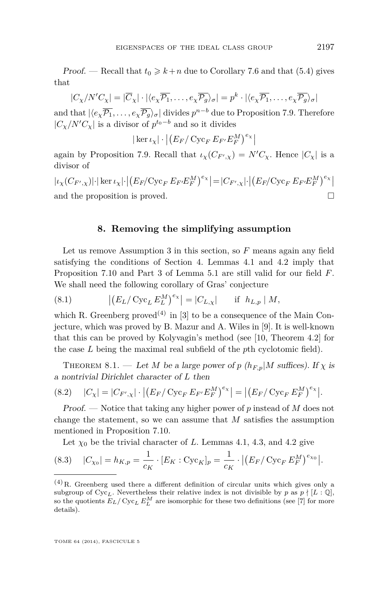<span id="page-33-0"></span>Proof. — Recall that  $t_0 \geq k+n$  due to Corollary [7.6](#page-28-0) and that [\(5.4\)](#page-15-0) gives that

$$
|C_{\chi}/N'C_{\chi}| = |\overline{C}_{\chi}| \cdot |\langle e_{\chi}\overline{\mathcal{P}_1}, \dots, e_{\chi}\overline{\mathcal{P}_g} \rangle_{\sigma}| = p^k \cdot |\langle e_{\chi}\overline{\mathcal{P}_1}, \dots, e_{\chi}\overline{\mathcal{P}_g} \rangle_{\sigma}|
$$

and that  $|\langle e_\chi \overline{P_1}, \ldots, e_\chi \overline{P_g} \rangle_\sigma|$  divides  $p^{n-b}$  due to Proposition [7.9.](#page-30-0) Therefore  $|C_{\chi}/N'C_{\chi}|$  is a divisor of  $p^{t_0-b}$  and so it divides

 $|\ker \iota_{\chi}| \cdot | (E_F / \operatorname{Cyc}_F E_{F'} E_F^M)^{e_{\chi}}|$ 

again by Proposition [7.9.](#page-30-0) Recall that  $\iota_{\chi}(C_{F',\chi}) = N'C_{\chi}$ . Hence  $|C_{\chi}|$  is a divisor of

 $|\iota_\chi(C_{F',\chi})|\cdot|\ker\iota_\chi|\cdot\left|\left(E_F/\mathbf{Cyc}_F\ E_{F'}E_F^M\right)^{e_\chi}\right| = |C_{F',\chi}|\cdot\left|\left(E_F/\mathbf{Cyc}_F\ E_{F'}E_F^M\right)^{e_\chi}\right|$ and the proposition is proved.

#### **8. Removing the simplifying assumption**

Let us remove Assumption [3](#page-12-0) in this section, so *F* means again any field satisfying the conditions of Section [4.](#page-10-0) Lemmas [4.1](#page-11-0) and [4.2](#page-11-0) imply that Proposition [7.10](#page-32-0) and Part 3 of Lemma [5.1](#page-12-0) are still valid for our field *F*. We shall need the following corollary of Gras' conjecture

(8.1) 
$$
|(E_L/\operatorname{Cyc}_L E_L^M)^{e_\chi}| = |C_{L,\chi}| \quad \text{if } h_{L,p} | M,
$$

which R. Greenberg proved<sup>(4)</sup> in [\[3\]](#page-39-0) to be a consequence of the Main Conjecture, which was proved by B. Mazur and A. Wiles in [\[9\]](#page-39-0). It is well-known that this can be proved by Kolyvagin's method (see [\[10,](#page-39-0) Theorem 4.2] for the case *L* being the maximal real subfield of the *p*th cyclotomic field).

THEOREM 8.1. — Let *M* be a large power of *p* ( $h_{F,p}$ |*M* suffices). If  $\chi$  is a nontrivial Dirichlet character of *L* then

(8.2) 
$$
|C_{\chi}| = |C_{F',\chi}| \cdot |(E_F / \operatorname{Cyc}_F E_{F'} E_F^M)^{e_{\chi}}| = |(E_F / \operatorname{Cyc}_F E_F^M)^{e_{\chi}}|.
$$

Proof. — Notice that taking any higher power of *p* instead of *M* does not change the statement, so we can assume that *M* satisfies the assumption mentioned in Proposition [7.10.](#page-32-0)

Let  $\chi_0$  be the trivial character of *L*. Lemmas [4.1,](#page-11-0) [4.3,](#page-11-0) and [4.2](#page-11-0) give

(8.3) 
$$
|C_{\chi_0}| = h_{K,p} = \frac{1}{c_K} \cdot [E_K : \text{Cyc}_K]_p = \frac{1}{c_K} \cdot |(E_F / \text{Cyc}_F E_F^M)^{e_{\chi_0}}|.
$$

 $(4)$ R. Greenberg used there a different definition of circular units which gives only a subgroup of  $\text{Cyc}_L$ . Nevertheless their relative index is not divisible by *p* as  $p \nmid [L:\mathbb{Q}]$ , so the quotients  $E_L/\operatorname{Cyc}_L E_L^M$  are isomorphic for these two definitions (see [\[7\]](#page-39-0) for more details).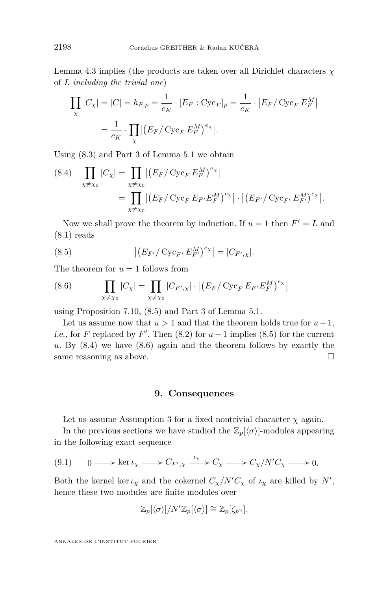<span id="page-34-0"></span>Lemma [4.3](#page-11-0) implies (the products are taken over all Dirichlet characters *χ* of *L including the trivial one*)

$$
\prod_{\chi} |C_{\chi}| = |C| = h_{F,p} = \frac{1}{c_K} \cdot [E_F : \text{Cyc}_F]_p = \frac{1}{c_K} \cdot |E_F| \text{Cyc}_F E_F^M|
$$

$$
= \frac{1}{c_K} \cdot \prod_{\chi} |(E_F / \text{Cyc}_F E_F^M)^{e_{\chi}}|.
$$

Using [\(8.3\)](#page-33-0) and Part 3 of Lemma [5.1](#page-12-0) we obtain

(8.4) 
$$
\prod_{\chi \neq \chi_0} |C_{\chi}| = \prod_{\chi \neq \chi_0} |(E_F / \text{Cyc}_F E_F^M)^{e_{\chi}}|
$$
  
= 
$$
\prod_{\chi \neq \chi_0} |(E_F / \text{Cyc}_F E_{F'} E_F^M)^{e_{\chi}}| \cdot |(E_{F'} / \text{Cyc}_F E_{F'}^M)^{e_{\chi}}|.
$$

Now we shall prove the theorem by induction. If  $u = 1$  then  $F' = L$  and  $(8.1)$  reads

(8.5) 
$$
\left| \left( E_{F'} / \operatorname{Cyc}_{F'} E_{F'}^M \right)^{e_\chi} \right| = |C_{F',\chi}|.
$$

The theorem for  $u = 1$  follows from

(8.6) 
$$
\prod_{\chi \neq \chi_0} |C_{\chi}| = \prod_{\chi \neq \chi_0} |C_{F',\chi}| \cdot |(E_F / \text{Cyc}_F E_{F'} E_F^M)^{e_{\chi}}|
$$

using Proposition [7.10,](#page-32-0) (8.5) and Part 3 of Lemma [5.1.](#page-12-0)

Let us assume now that  $u > 1$  and that the theorem holds true for  $u-1$ , *i.e.*, for *F* replaced by *F'*. Then  $(8.2)$  for  $u-1$  implies  $(8.5)$  for the current *u*. By (8.4) we have (8.6) again and the theorem follows by exactly the same reasoning as above.

#### **9. Consequences**

Let us assume Assumption [3](#page-12-0) for a fixed nontrivial character  $\chi$  again.

In the previous sections we have studied the  $\mathbb{Z}_p[\langle \sigma \rangle]$ -modules appearing in the following exact sequence

$$
(9.1) \qquad 0 \longrightarrow \ker \iota_{\chi} \longrightarrow C_{F',\chi} \xrightarrow{\iota_{\chi}} C_{\chi} \longrightarrow C_{\chi}/N'C_{\chi} \longrightarrow 0.
$$

Both the kernel ker  $\iota_{\chi}$  and the cokernel  $C_{\chi}/N'C_{\chi}$  of  $\iota_{\chi}$  are killed by N', hence these two modules are finite modules over

$$
\mathbb{Z}_p[\langle \sigma \rangle]/N'\mathbb{Z}_p[\langle \sigma \rangle] \cong \mathbb{Z}_p[\zeta_{p^u}].
$$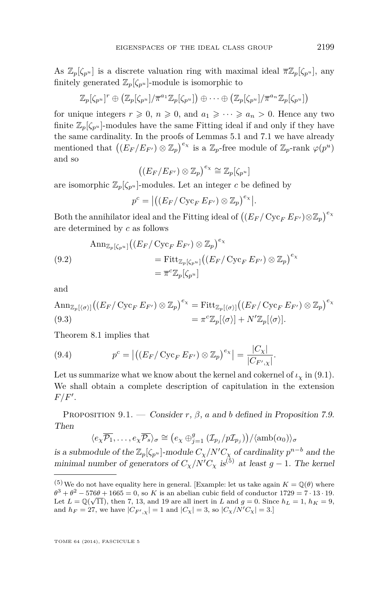<span id="page-35-0"></span>As  $\mathbb{Z}_p[\zeta_{p^u}]$  is a discrete valuation ring with maximal ideal  $\overline{\pi}\mathbb{Z}_p[\zeta_{p^u}]$ , any finitely generated  $\mathbb{Z}_p[\zeta_{p^u}]$ -module is isomorphic to

$$
\mathbb{Z}_p[\zeta_{p^u}]^r \oplus (\mathbb{Z}_p[\zeta_{p^u}]/\pi^{a_1}\mathbb{Z}_p[\zeta_{p^u}]) \oplus \cdots \oplus (\mathbb{Z}_p[\zeta_{p^u}]/\pi^{a_n}\mathbb{Z}_p[\zeta_{p^u}])
$$

for unique integers  $r \geq 0$ ,  $n \geq 0$ , and  $a_1 \geq \cdots \geq a_n > 0$ . Hence any two finite  $\mathbb{Z}_p[\zeta_{p^u}]$ -modules have the same Fitting ideal if and only if they have the same cardinality. In the proofs of Lemmas [5.1](#page-12-0) and [7.1](#page-22-0) we have already mentioned that  $((E_F/E_{F'}) \otimes \mathbb{Z}_p)^{e_\chi}$  is a  $\mathbb{Z}_p$ -free module of  $\mathbb{Z}_p$ -rank  $\varphi(p^u)$ and so

$$
((E_F/E_{F'})\otimes \mathbb{Z}_p)^{e_\chi}\cong \mathbb{Z}_p[\zeta_{p^u}]
$$

are isomorphic  $\mathbb{Z}_p[\zeta_{p^u}]$ -modules. Let an integer *c* be defined by

$$
p^{c} = \left| \left( \left( E_{F} / \operatorname{Cyc}_{F} E_{F'} \right) \otimes \mathbb{Z}_{p} \right)^{e_{\chi}} \right|.
$$

Both the annihilator ideal and the Fitting ideal of  $\left((E_F/\operatorname{Cyc}_FE_{F'})\otimes\mathbb{Z}_p\right)^{e_\chi}$ are determined by *c* as follows

(9.2)  
\n
$$
\begin{aligned}\n\text{Ann}_{\mathbb{Z}_p[\zeta_{p^u}]} \big( (E_F / \operatorname{Cyc}_F E_{F'}) \otimes \mathbb{Z}_p \big)^{e_\chi} \\
&= \operatorname{Fitt}_{\mathbb{Z}_p[\zeta_{p^u}]} \big( (E_F / \operatorname{Cyc}_F E_{F'}) \otimes \mathbb{Z}_p \big)^{e_\chi} \\
&= \overline{\pi}^c \mathbb{Z}_p[\zeta_{p^u}]\n\end{aligned}
$$

and

$$
\operatorname{Ann}_{\mathbb{Z}_p[\langle \sigma \rangle]} \bigl( (E_F / \operatorname{Cyc}_F E_{F'}) \otimes \mathbb{Z}_p \bigr)^{e_\chi} = \operatorname{Fitt}_{\mathbb{Z}_p[\langle \sigma \rangle]} \bigl( (E_F / \operatorname{Cyc}_F E_{F'}) \otimes \mathbb{Z}_p \bigr)^{e_\chi} \n= \pi^c \mathbb{Z}_p[\langle \sigma \rangle] + N' \mathbb{Z}_p[\langle \sigma \rangle].
$$

Theorem [8.1](#page-33-0) implies that

(9.4) 
$$
p^{c} = \left| \left( \left( E_{F} / \operatorname{Cyc}_{F} E_{F'} \right) \otimes \mathbb{Z}_{p} \right)^{e_{\chi}} \right| = \frac{|C_{\chi}|}{|C_{F',\chi}|}.
$$

Let us summarize what we know about the kernel and cokernel of  $i<sub>\chi</sub>$  in [\(9.1\)](#page-34-0). We shall obtain a complete description of capitulation in the extension  $F/F'.$ 

PROPOSITION 9.1. — Consider  $r$ ,  $\beta$ ,  $a$  and  $b$  defined in Proposition [7.9.](#page-30-0) Then

$$
\langle e_{\chi} \overline{\mathcal{P}_1}, \dots, e_{\chi} \overline{\mathcal{P}_s} \rangle_{\sigma} \cong (e_{\chi} \oplus_{j=1}^g (\mathcal{I}_{p_j}/p\mathcal{I}_{p_j})) / \langle \text{amb}(\alpha_0) \rangle_{\sigma}
$$

is a submodule of the  $\mathbb{Z}_p[\zeta_{p^u}]$ -module  $C_{\chi}/N'C_{\chi}$  of cardinality  $p^{n-b}$  and the minimal number of generators of  $C_v/N'C_v$  is<sup>(5)</sup> at least  $g-1$ . The kernel

<sup>&</sup>lt;sup>(5)</sup>We do not have equality here in general. [Example: let us take again  $K = \mathbb{Q}(\theta)$  where  $\theta^3 + \theta^2 - 576\theta + 1665 = 0$ , so *K* is an abelian cubic field of conductor 1729 = 7 · 13 · 19. Let  $L = \mathbb{Q}(\sqrt{11})$ , then 7, 13, and 19 are all inert in *L* and  $g = 0$ . Since  $h_L = 1$ ,  $h_K = 9$ , and  $h_F = 27$ , we have  $|C_{F',\chi}| = 1$  and  $|C_{\chi}| = 3$ , so  $|C_{\chi}/N'C_{\chi}| = 3$ .]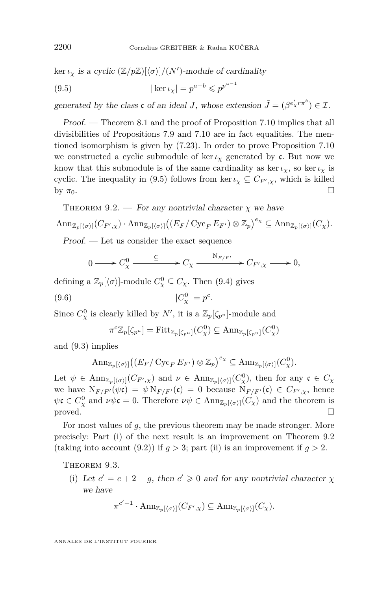<span id="page-36-0"></span> $\ker \iota_{\chi}$  is a cyclic  $(\mathbb{Z}/p\mathbb{Z})[\langle \sigma \rangle]/(N')$ -module of cardinality

(9.5) 
$$
|\ker \iota_\chi| = p^{a-b} \leqslant p^{p^{u-1}}
$$

generated by the class  $\mathfrak{c}$  of an ideal *J*, whose extension  $\tilde{J} = (\beta^{e'_\chi r \pi^b}) \in \mathcal{I}$ .

Proof. — Theorem [8.1](#page-33-0) and the proof of Proposition [7.10](#page-32-0) implies that all divisibilities of Propositions [7.9](#page-30-0) and [7.10](#page-32-0) are in fact equalities. The mentioned isomorphism is given by [\(7.23\)](#page-32-0). In order to prove Proposition [7.10](#page-32-0) we constructed a cyclic submodule of ker $\iota_{\chi}$  generated by c. But now we know that this submodule is of the same cardinality as ker  $\iota_{\chi}$ , so ker  $\iota_{\chi}$  is cyclic. The inequality in (9.5) follows from ker  $\iota_{\chi} \subseteq C_{F',\chi}$ , which is killed by  $\pi_0$ .

THEOREM 9.2. — For any nontrivial character  $\chi$  we have

$$
\mathrm{Ann}_{\mathbb{Z}_p[\langle \sigma \rangle]}(C_{F',\chi})\cdot \mathrm{Ann}_{\mathbb{Z}_p[\langle \sigma \rangle]}((E_F/\operatorname{Cyc}_FE_{F'})\otimes \mathbb{Z}_p)^{e_{\chi}}\subseteq \mathrm{Ann}_{\mathbb{Z}_p[\langle \sigma \rangle]}(C_{\chi}).
$$

Proof. — Let us consider the exact sequence

$$
0 \longrightarrow C_{\chi}^{0} \xrightarrow{\subseteq} C_{\chi} \xrightarrow{\mathrm{N}_{F/F'}} C_{F',\chi} \longrightarrow 0,
$$

defining a  $\mathbb{Z}_p[\langle \sigma \rangle]$ -module  $C^0_\chi \subseteq C_\chi$ . Then [\(9.4\)](#page-35-0) gives  $(9.6)$  $| \frac{1}{x} | = p^c.$ 

Since  $C^0_\chi$  is clearly killed by  $N'$ , it is a  $\mathbb{Z}_p[\zeta_{p^u}]$ -module and

$$
\overline{\pi}^c \mathbb{Z}_p[\zeta_{p^u}] = \mathrm{Fitt}_{\mathbb{Z}_p[\zeta_{p^u}]}(C_\chi^0) \subseteq \mathrm{Ann}_{\mathbb{Z}_p[\zeta_{p^u}]}(C_\chi^0)
$$

and [\(9.3\)](#page-35-0) implies

$$
\mathrm{Ann}_{\mathbb{Z}_p[\langle \sigma \rangle]} \big( (E_F / \mathrm{Cyc}_F E_{F'}) \otimes \mathbb{Z}_p \big)^{e_\chi} \subseteq \mathrm{Ann}_{\mathbb{Z}_p[\langle \sigma \rangle]}(C_\chi^0).
$$

Let  $\psi \in \text{Ann}_{\mathbb{Z}_p[\langle \sigma \rangle]}(C_{F',\chi})$  and  $\nu \in \text{Ann}_{\mathbb{Z}_p[\langle \sigma \rangle]}(C_{\chi}^0)$ , then for any  $\mathfrak{c} \in C_{\chi}$ we have  $N_{F/F'}(\psi \mathfrak{c}) = \psi N_{F/F'}(\mathfrak{c}) = 0$  because  $N_{F/F'}(\mathfrak{c}) \in C_{F',\chi}$ , hence  $\psi \mathfrak{c} \in C^0_{\chi}$  and  $\nu \psi \mathfrak{c} = 0$ . Therefore  $\nu \psi \in \text{Ann}_{\mathbb{Z}_p[\langle \sigma \rangle]}(C_{\chi})$  and the theorem is proved.

For most values of *g*, the previous theorem may be made stronger. More precisely: Part (i) of the next result is an improvement on Theorem 9.2 (taking into account  $(9.2)$ ) if  $q > 3$ ; part (ii) is an improvement if  $q > 2$ .

THEOREM 9.3.

(i) Let  $c' = c + 2 - g$ , then  $c' \ge 0$  and for any nontrivial character  $\chi$ we have

$$
\pi^{c'+1} \cdot \mathrm{Ann}_{\mathbb{Z}_p[\langle \sigma \rangle]}(C_{F',\chi}) \subseteq \mathrm{Ann}_{\mathbb{Z}_p[\langle \sigma \rangle]}(C_{\chi}).
$$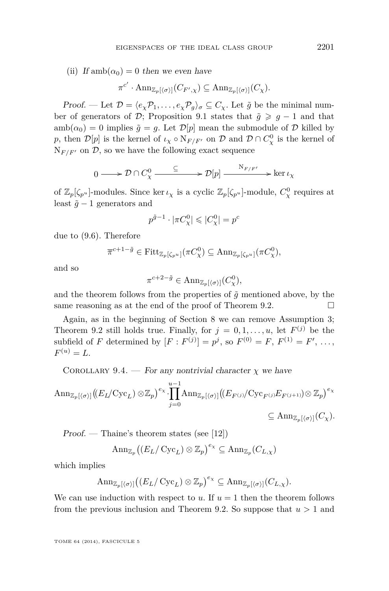<span id="page-37-0"></span>(ii) If  $amb(\alpha_0) = 0$  then we even have

$$
\pi^{c'} \cdot \mathrm{Ann}_{\mathbb{Z}_p[\langle \sigma \rangle]}(C_{F',\chi}) \subseteq \mathrm{Ann}_{\mathbb{Z}_p[\langle \sigma \rangle]}(C_{\chi}).
$$

Proof. — Let  $\mathcal{D} = \langle e_\chi \mathcal{P}_1, \ldots, e_\chi \mathcal{P}_g \rangle_\sigma \subseteq C_\chi$ . Let  $\tilde{g}$  be the minimal number of generators of  $\mathcal{D}$ ; Proposition [9.1](#page-35-0) states that  $\tilde{g} \geq g - 1$  and that  $amb(\alpha_0) = 0$  implies  $\tilde{q} = q$ . Let  $\mathcal{D}[p]$  mean the submodule of  $\mathcal D$  killed by *p*, then  $\mathcal{D}[p]$  is the kernel of  $\iota_{\chi} \circ N_{F/F'}$  on D and  $\mathcal{D} \cap C_{\chi}^0$  is the kernel of  $N_{F/F'}$  on  $\mathcal{D}$ , so we have the following exact sequence

$$
0 \longrightarrow \mathcal{D} \cap C_{\chi}^{0} \xrightarrow{\subseteq} \mathcal{D}[p] \xrightarrow{\mathrm{N}_{F/F'}} \ker \iota_{\chi}
$$

of  $\mathbb{Z}_p[\zeta_{p^u}]$ -modules. Since ker  $\iota_\chi$  is a cyclic  $\mathbb{Z}_p[\zeta_{p^u}]$ -module,  $C^0_\chi$  requires at least  $\tilde{g}$  − 1 generators and

$$
p^{\tilde{g}-1} \cdot |\pi C_{\chi}^{0}| \leqslant |C_{\chi}^{0}| = p^{c}
$$

due to [\(9.6\)](#page-36-0). Therefore

$$
\overline{\pi}^{c+1-\tilde{g}} \in \mathrm{Fitt}_{\mathbb{Z}_p[\zeta_{p^u}]}(\pi C_\chi^0) \subseteq \mathrm{Ann}_{\mathbb{Z}_p[\zeta_{p^u}]}(\pi C_\chi^0),
$$

and so

$$
\pi^{c+2-\tilde{g}} \in \text{Ann}_{\mathbb{Z}_p[\langle \sigma \rangle]}(C^0_\chi),
$$

and the theorem follows from the properties of  $\tilde{g}$  mentioned above, by the same reasoning as at the end of the proof of Theorem [9.2.](#page-36-0)  $\Box$ 

Again, as in the beginning of Section [8](#page-33-0) we can remove Assumption [3;](#page-12-0) Theorem [9.2](#page-36-0) still holds true. Finally, for  $j = 0, 1, \ldots, u$ , let  $F^{(j)}$  be the subfield of *F* determined by  $[F : F^{(j)}] = p^j$ , so  $F^{(0)} = F, F^{(1)} = F', \ldots$ ,  $F^{(u)} = L.$ 

COROLLARY 9.4. — For any nontrivial character  $\chi$  we have

$$
\operatorname{Ann}_{\mathbb{Z}_p[\langle \sigma \rangle]} \big( (E_L/\operatorname{Cyc}_L) \otimes \mathbb{Z}_p \big)^{e_\chi} \cdot \prod_{j=0}^{u-1} \operatorname{Ann}_{\mathbb{Z}_p[\langle \sigma \rangle]} \big( (E_{F^{(j)}}/\operatorname{Cyc}_{F^{(j)}} E_{F^{(j+1)}}) \otimes \mathbb{Z}_p \big)^{e_\chi} \big)
$$
  

$$
\subseteq \operatorname{Ann}_{\mathbb{Z}_p[\langle \sigma \rangle]}(C_\chi).
$$

Proof. — Thaine's theorem states (see [\[12\]](#page-39-0))

$$
\mathrm{Ann}_{\mathbb{Z}_p}((E_L/\operatorname{Cyc}_L) \otimes \mathbb{Z}_p)^{e_\chi} \subseteq \mathrm{Ann}_{\mathbb{Z}_p}(C_{L,\chi})
$$

which implies

$$
\mathrm{Ann}_{\mathbb{Z}_p[\langle \sigma \rangle]} \big( (E_L/\operatorname{Cyc}_L) \otimes \mathbb{Z}_p \big)^{e_\chi} \subseteq \mathrm{Ann}_{\mathbb{Z}_p[\langle \sigma \rangle]}(C_{L,\chi}).
$$

We can use induction with respect to  $u$ . If  $u = 1$  then the theorem follows from the previous inclusion and Theorem [9.2.](#page-36-0) So suppose that  $u > 1$  and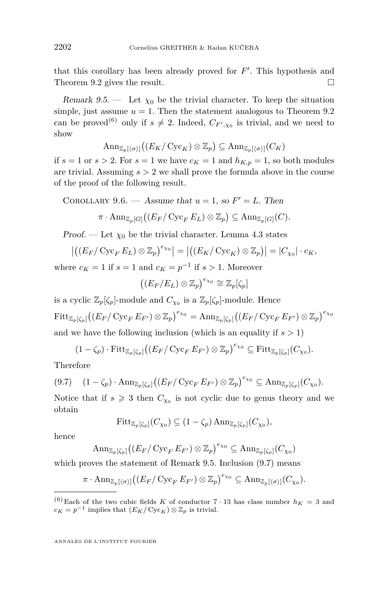<span id="page-38-0"></span>that this corollary has been already proved for  $F'$ . This hypothesis and Theorem [9.2](#page-36-0) gives the result.  $\square$ 

Remark 9.5. — Let  $\chi_0$  be the trivial character. To keep the situation simple, just assume  $u = 1$ . Then the statement analogous to Theorem [9.2](#page-36-0) can be proved<sup>(6)</sup> only if  $s \neq 2$ . Indeed,  $C_{F',\chi_0}$  is trivial, and we need to show

$$
\mathrm{Ann}_{\mathbb{Z}_p[\langle \sigma \rangle]}((E_K/\operatorname{Cyc}_K) \otimes \mathbb{Z}_p) \subseteq \mathrm{Ann}_{\mathbb{Z}_p[\langle \sigma \rangle]}(C_K)
$$

if  $s = 1$  or  $s > 2$ . For  $s = 1$  we have  $c_K = 1$  and  $h_{K,p} = 1$ , so both modules are trivial. Assuming  $s > 2$  we shall prove the formula above in the course of the proof of the following result.

COROLLARY 9.6. — Assume that 
$$
u = 1
$$
, so  $F' = L$ . Then

$$
\pi \cdot \mathrm{Ann}_{\mathbb{Z}_p[G]}\big((E_F/\operatorname{Cyc}_F E_L) \otimes \mathbb{Z}_p\big) \subseteq \mathrm{Ann}_{\mathbb{Z}_p[G]}(C).
$$

Proof. — Let  $\chi_0$  be the trivial character. Lemma [4.3](#page-11-0) states

$$
\left| \left( \left( E_F / \operatorname{Cyc}_F E_L \right) \otimes \mathbb{Z}_p \right)^{e_{\chi_0}} \right| = \left| \left( \left( E_K / \operatorname{Cyc}_K \right) \otimes \mathbb{Z}_p \right) \right| = |C_{\chi_0}| \cdot c_K,
$$

where  $c_K = 1$  if  $s = 1$  and  $c_K = p^{-1}$  if  $s > 1$ . Moreover

$$
((E_F/E_L) \otimes \mathbb{Z}_p)^{e_{\chi_0}} \cong \mathbb{Z}_p[\zeta_p]
$$

is a cyclic  $\mathbb{Z}_p[\zeta_p]$ -module and  $C_{\chi_0}$  is a  $\mathbb{Z}_p[\zeta_p]$ -module. Hence  ${\rm Fitt}_{\mathbb{Z}_p[\zeta_p]} \big( (E_F/\operatorname{Cyc}_FE_{F'}) \otimes \mathbb{Z}_p \big)^{e_{\chi_0}} = \operatorname{Ann}_{\mathbb{Z}_p[\zeta_p]} \big( (E_F/\operatorname{Cyc}_FE_{F'}) \otimes \mathbb{Z}_p \big)^{e_{\chi_0}}$ and we have the following inclusion (which is an equality if  $s > 1$ )

$$
(1-\zeta_p)\cdot \operatorname{Fitt}_{\mathbb{Z}_p[\zeta_p]}((E_F/\operatorname{Cyc}_FE_{F'})\otimes \mathbb{Z}_p)^{e_{\chi_0}}\subseteq \operatorname{Fitt}_{\mathbb{Z}_p[\zeta_p]}(C_{\chi_0}).
$$

Therefore

$$
(9.7) \quad (1 - \zeta_p) \cdot \mathrm{Ann}_{\mathbb{Z}_p[\zeta_p]}((E_F/\mathrm{Cyc}_F E_{F'}) \otimes \mathbb{Z}_p)^{e_{\chi_0}} \subseteq \mathrm{Ann}_{\mathbb{Z}_p[\zeta_p]}(C_{\chi_0}).
$$

Notice that if  $s \geq 3$  then  $C_{\chi_0}$  is not cyclic due to genus theory and we obtain

$$
\mathrm{Fitt}_{\mathbb{Z}_p[\zeta_p]}(C_{\chi_0}) \subseteq (1 - \zeta_p) \operatorname{Ann}_{\mathbb{Z}_p[\zeta_p]}(C_{\chi_0}),
$$

hence

$$
\mathrm{Ann}_{\mathbb{Z}_p[\zeta_p]}((E_F/\operatorname{Cyc}_FE_{F'})\otimes \mathbb{Z}_p)^{e_{\chi_0}}\subseteq \mathrm{Ann}_{\mathbb{Z}_p[\zeta_p]}(C_{\chi_0})
$$

which proves the statement of Remark 9.5. Inclusion (9.7) means

$$
\pi \cdot \mathrm{Ann}_{\mathbb{Z}_p[\langle \sigma \rangle]} \big( (E_F / \mathrm{Cyc}_F E_{F'}) \otimes \mathbb{Z}_p \big)^{e_{\chi_0}} \subseteq \mathrm{Ann}_{\mathbb{Z}_p[\langle \sigma \rangle]}(C_{\chi_0}).
$$

<sup>&</sup>lt;sup>(6)</sup> Each of the two cubic fields *K* of conductor  $7 \cdot 13$  has class number  $h_K = 3$  and  $c_K = p^{-1}$  implies that  $(E_K / \text{Cyc}_K) \otimes \mathbb{Z}_p$  is trivial.